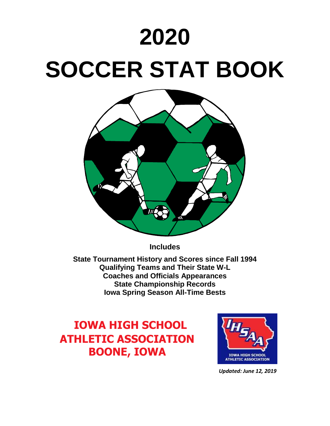# **2020 SOCCER STAT BOOK**



**Includes** 

**State Tournament History and Scores since Fall 1994 Qualifying Teams and Their State W-L Coaches and Officials Appearances State Championship Records Iowa Spring Season All-Time Bests**

# **IOWA HIGH SCHOOL ATHLETIC ASSOCIATION BOONE, IOWA**



 *Updated: June 12, 2019*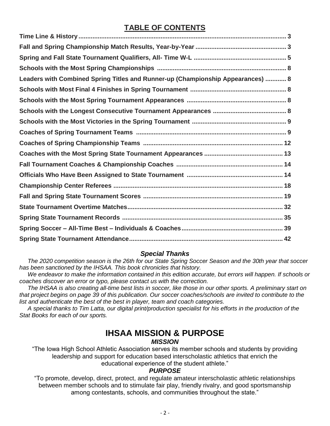## **TABLE OF CONTENTS**

| Leaders with Combined Spring Titles and Runner-up (Championship Appearances)  8 |
|---------------------------------------------------------------------------------|
|                                                                                 |
|                                                                                 |
|                                                                                 |
|                                                                                 |
|                                                                                 |
|                                                                                 |
|                                                                                 |
|                                                                                 |
|                                                                                 |
|                                                                                 |
|                                                                                 |
|                                                                                 |
|                                                                                 |
|                                                                                 |
|                                                                                 |

## *Special Thanks*

 *The 2020 competition season is the 26th for our State Spring Soccer Season and the 30th year that soccer has been sanctioned by the IHSAA. This book chronicles that history.* 

 *We endeavor to make the information contained in this edition accurate, but errors will happen. If schools or coaches discover an error or typo, please contact us with the correction.*

 *The IHSAA is also creating all-time best lists in soccer, like those in our other sports. A preliminary start on that project begins on page 39 of this publication. Our soccer coaches/schools are invited to contribute to the list and authenticate the best of the best in player, team and coach categories.* 

 *A special thanks to Tim Latta, our digital print/production specialist for his efforts in the production of the Stat Books for each of our sports.*

## **IHSAA MISSION & PURPOSE** *MISSION*

"The Iowa High School Athletic Association serves its member schools and students by providing leadership and support for education based interscholastic athletics that enrich the educational experience of the student athlete."

## *PURPOSE*

"To promote, develop, direct, protect, and regulate amateur interscholastic athletic relationships between member schools and to stimulate fair play, friendly rivalry, and good sportsmanship among contestants, schools, and communities throughout the state."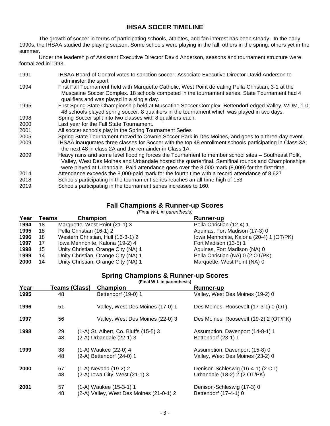## **IHSAA SOCER TIMELINE**

The growth of soccer in terms of participating schools, athletes, and fan interest has been steady. In the early 1990s, the IHSAA studied the playing season. Some schools were playing in the fall, others in the spring, others yet in the summer.

Under the leadership of Assistant Executive Director David Anderson, seasons and tournament structure were formalized in 1993.

| 1991 | IHSAA Board of Control votes to sanction soccer; Associate Executive Director David Anderson to<br>administer the sport                                                                                                                                                                                   |
|------|-----------------------------------------------------------------------------------------------------------------------------------------------------------------------------------------------------------------------------------------------------------------------------------------------------------|
| 1994 | First Fall Tournament held with Marquette Catholic, West Point defeating Pella Christian, 3-1 at the<br>Muscatine Soccer Complex. 18 schools competed in the tournament series. State Tournament had 4<br>qualifiers and was played in a single day.                                                      |
| 1995 | First Spring State Championship held at Muscatine Soccer Complex. Bettendorf edged Valley, WDM, 1-0;<br>48 schools played spring soccer. 8 qualifiers in the tournament which was played in two days.                                                                                                     |
| 1998 | Spring Soccer split into two classes with 8 qualifiers each.                                                                                                                                                                                                                                              |
| 2000 | Last year for the Fall State Tournament.                                                                                                                                                                                                                                                                  |
| 2001 | All soccer schools play in the Spring Tournament Series                                                                                                                                                                                                                                                   |
| 2005 | Spring State Tournament moved to Cownie Soccer Park in Des Moines, and goes to a three-day event.                                                                                                                                                                                                         |
| 2009 | IHSAA inaugurates three classes for Soccer with the top 48 enrollment schools participating in Class 3A;<br>the next 48 in class 2A and the remainder in Class 1A.                                                                                                                                        |
| 2009 | Heavy rains and some level flooding forces the Tournament to member school sites – Southeast Polk,<br>Valley, West Des Moines and Urbandale hosted the quarterfinal. Semifinal rounds and Championships<br>were played at Urbandale. Paid attendance goes over the 8,000 mark (8,009) for the first time. |
| 2014 | Attendance exceeds the 8,000-paid mark for the fourth time with a record attendance of 8,627                                                                                                                                                                                                              |
| 2018 | Schools participating in the tournament series reaches an all-time high of 153                                                                                                                                                                                                                            |
| 2019 | Schools participating in the tournament series increases to 160.                                                                                                                                                                                                                                          |

## **Fall Champions & Runner-up Scores**

*(Final W-L in parenthesis)*

| Year | Teams | Champion                            | <b>Runner-up</b>                        |
|------|-------|-------------------------------------|-----------------------------------------|
| 1994 | 18    | Marquette, West Point (21-1) 3      | Pella Christian (12-4) 1                |
| 1995 | 18    | Pella Christian (16-1) 2            | Aguinas, Fort Madison (17-3) 0          |
| 1996 | 18    | Western Christian, Hull (16-3-1) 2  | Iowa Mennonite, Kalona (20-4) 1 (OT/PK) |
| 1997 | 17    | Iowa Mennonite, Kalona (19-2) 4     | Fort Madison (13-5) 1                   |
| 1998 | 15    | Unity Christian, Orange City (NA) 1 | Aquinas, Fort Madison (NA) 0            |
| 1999 | 14    | Unity Christian, Orange City (NA) 1 | Pella Christian (NA) 0 (2 OT/PK)        |
| 2000 | 14    | Unity Christian, Orange City (NA) 1 | Marquette, West Point (NA) 0            |

## **Spring Champions & Runner-up Scores**

**(Final W-L in parenthesis)**

| Year | <b>Teams (Class)</b> | <b>Champion</b>                          | <b>Runner-up</b>                       |
|------|----------------------|------------------------------------------|----------------------------------------|
| 1995 | 48                   | Bettendorf (19-0) 1                      | Valley, West Des Moines (19-2) 0       |
| 1996 | 51                   | Valley, West Des Moines (17-0) 1         | Des Moines, Roosevelt (17-3-1) 0 (OT)  |
| 1997 | 56                   | Valley, West Des Moines (22-0) 3         | Des Moines, Roosevelt (19-2) 2 (OT/PK) |
| 1998 | 29                   | (1-A) St. Albert, Co. Bluffs (15-5) 3    | Assumption, Davenport (14-8-1) 1       |
|      | 48                   | (2-A) Urbandale (22-1) 3                 | Bettendorf (23-1) 1                    |
| 1999 | 38                   | (1-A) Waukee (22-0) 4                    | Assumption, Davenport (15-8) 0         |
|      | 48                   | (2-A) Bettendorf (24-0) 1                | Valley, West Des Moines (23-2) 0       |
| 2000 | 57                   | (1-A) Nevada (19-2) 2                    | Denison-Schleswig (16-4-1) (2 OT)      |
|      | 48                   | (2-A) lowa City, West (21-1) 3           | Urbandale (18-2) 2 (2 OT/PK)           |
| 2001 | 57                   | (1-A) Waukee (15-3-1) 1                  | Denison-Schleswig (17-3) 0             |
|      | 48                   | (2-A) Valley, West Des Moines (21-0-1) 2 | Bettendorf (17-4-1) 0                  |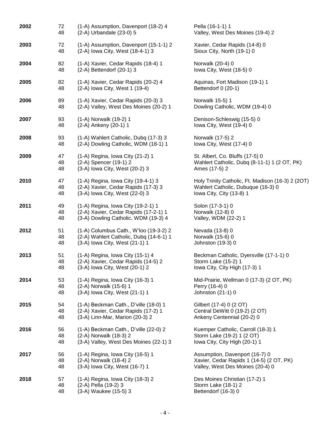| 2002 | 72 | (1-A) Assumption, Davenport (18-2) 4    | Pella (16-1-1) 1                                  |
|------|----|-----------------------------------------|---------------------------------------------------|
|      | 48 | (2-A) Urbandale (23-0) 5                | Valley, West Des Moines (19-4) 2                  |
| 2003 | 72 | (1-A) Assumption, Davenport (15-1-1) 2  | Xavier, Cedar Rapids (14-8) 0                     |
|      | 48 | (2-A) lowa City, West (18-4-1) 3        | Sioux City, North (19-1) 0                        |
| 2004 | 82 | (1-A) Xavier, Cedar Rapids (18-4) 1     | Norwalk (20-4) 0                                  |
|      | 48 | (2-A) Bettendorf (20-1) 3               | lowa City, West (18-5) 0                          |
| 2005 | 82 | (1-A) Xavier, Cedar Rapids (20-2) 4     | Aquinas, Fort Madison (19-1) 1                    |
|      | 48 | (2-A) lowa City, West 1 (19-4)          | Bettendorf 0 (20-1)                               |
| 2006 | 89 | (1-A) Xavier, Cedar Rapids (20-3) 3     | Norwalk 15-5) 1                                   |
|      | 48 | (2-A) Valley, West Des Moines (20-2) 1  | Dowling Catholic, WDM (19-4) 0                    |
| 2007 | 93 | (1-A) Norwalk (19-2) 1                  | Denison-Schleswig (15-5) 0                        |
|      | 48 | (2-A) Ankeny (20-1) 1                   | lowa City, West (19-4) 0                          |
| 2008 | 93 | (1-A) Wahlert Catholic, Dubq (17-3) 3   | Norwalk (17-5) 2                                  |
|      | 48 | (2-A) Dowling Catholic, WDM (18-1) 1    | lowa City, West (17-4) 0                          |
| 2009 | 47 | (1-A) Regina, Iowa City (21-2) 1        | St. Albert, Co. Bluffs (17-5) 0                   |
|      | 48 | (2-A) Spencer (19-1) 2                  | Wahlert Catholic, Dubq (8-11-1) 1 (2 OT, PK)      |
|      | 48 | (3-A) lowa City, West (20-2) 3          | Ames (17-5) 2                                     |
| 2010 | 47 | (1-A) Regina, Iowa City (19-4-1) 3      | Holy Trinity Catholic, Ft. Madison (16-3) 2 (2OT) |
|      | 48 | (2-A) Xavier, Cedar Rapids (17-3) 3     | Wahlert Catholic, Dubuque (16-3) 0                |
|      | 48 | (3-A) lowa City, West (22-0) 3          | Iowa City, City (13-8) 1                          |
| 2011 | 49 | (1-A) Regina, Iowa City (19-2-1) 1      | Solon (17-3-1) 0                                  |
|      | 48 | (2-A) Xavier, Cedar Rapids (17-2-1) 1   | Norwalk (12-8) 0                                  |
|      | 48 | (3-A) Dowling Catholic, WDM (19-3) 4    | Valley, WDM (22-2) 1                              |
| 2012 | 51 | (1-A) Columbus Cath., W'loo (19-3-2) 2  | Nevada (13-8) 0                                   |
|      | 48 | (2-A) Wahlert Catholic, Dubq (14-6-1) 1 | Norwalk (15-6) 0                                  |
|      | 48 | (3-A) lowa City, West (21-1) 1          | Johnston (19-3) 0                                 |
| 2013 | 51 | (1-A) Regina, Iowa City (15-1) 4        | Beckman Catholic, Dyersville (17-1-1) 0           |
|      | 48 | (2-A) Xavier, Cedar Rapids (14-5) 2     | Storm Lake (15-2) 1                               |
|      | 48 | (3-A) lowa City, West (20-1) 2          | Iowa City, City High (17-3) 1                     |
| 2014 | 53 | (1-A) Regina, Iowa City (16-3) 1        | Mid-Prairie, Wellman 0 (17-3) (2 OT, PK)          |
|      | 48 | (2-A) Norwalk (15-6) 1                  | Perry (16-4) 0                                    |
|      | 48 | (3-A) lowa City, West (21-1) 1          | Johnston (21-1) 0                                 |
| 2015 | 54 | (1-A) Beckman Cath., D'ville (18-0) 1   | Gilbert (17-4) 0 (2 OT)                           |
|      | 48 | (2-A) Xavier, Cedar Rapids (17-2) 1     | Central DeWitt 0 (19-2) (2 OT)                    |
|      | 48 | (3-A) Linn-Mar, Marion (20-3) 2         | Ankeny Centennial (20-2) 0                        |
| 2016 | 56 | (1-A) Beckman Cath., D'ville (22-0) 2   | Kuemper Catholic, Carroll (18-3) 1                |
|      | 48 | (2-A) Norwalk (18-3) 2                  | Storm Lake (19-2) 1 (2 OT)                        |
|      | 48 | (3-A) Valley, West Des Moines (22-1) 3  | Iowa City, City High (20-1) 1                     |
| 2017 | 56 | (1-A) Regina, Iowa City (16-5) 1        | Assumption, Davenport (16-7) 0                    |
|      | 48 | (2-A) Norwalk (18-4) 2                  | Xavier, Cedar Rapids 1 (14-5) (2 OT, PK)          |
|      | 48 | (3-A) lowa City, West (16-7) 1          | Valley, West Des Moines (20-4) 0                  |
| 2018 | 57 | (1-A) Regina, Iowa City (18-3) 2        | Des Moines Christian (17-2) 1                     |
|      | 48 | (2-A) Pella (19-2) 3                    | Storm Lake (18-1) 2                               |
|      | 48 | (3-A) Waukee (15-5) 3                   | Bettendorf (16-3) 0                               |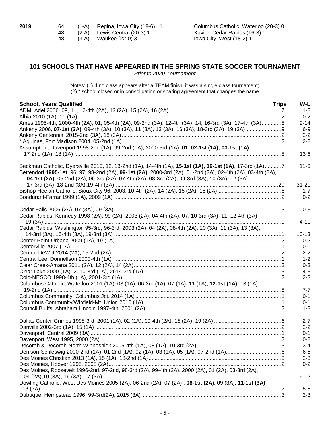| 2019 | -64 | $(1-A)$ Regina, Iowa City $(18-6)$ 1 | Columbus Catholic, Waterloo (20-3) 0 |
|------|-----|--------------------------------------|--------------------------------------|
|      | 48  | $(2-A)$ Lewis Central $(20-3)$ 1     | Xavier, Cedar Rapids (16-3) 0        |
|      | 48. | (3-A) Waukee (22-0) 3                | lowa City, West (18-2) 1             |

## **101 SCHOOLS THAT HAVE APPEARED IN THE SPRING STATE SOCCER TOURNAMENT**

*Prior to 2020 Tournament*

Notes: (1) If no class appears after a TEAM finish, it was a single class tournament; (2) \* school closed or in consolidation or sharing agreement that changes the name

| <b>School, Years Qualified</b>                                                                                                                                                                                                                                                                                             | <b>Trips</b><br>W-L |
|----------------------------------------------------------------------------------------------------------------------------------------------------------------------------------------------------------------------------------------------------------------------------------------------------------------------------|---------------------|
|                                                                                                                                                                                                                                                                                                                            | $1 - 8$             |
|                                                                                                                                                                                                                                                                                                                            | $0 - 2$             |
| Ames 1995-4th, 2000-4th (2A), 01, 05-4th (2A); 09-2nd (3A); 12-4th (3A), 14, 16-3rd (3A), 17-4th (3A)8                                                                                                                                                                                                                     | $9 - 14$            |
|                                                                                                                                                                                                                                                                                                                            | $6-9$               |
|                                                                                                                                                                                                                                                                                                                            | $2 - 2$             |
|                                                                                                                                                                                                                                                                                                                            | $2 - 2$             |
| Assumption, Davenport 1998-2nd (1A), 99-2nd (1A), 2000-3rd (1A), 01, 02-1st (1A), 03-1st (1A),                                                                                                                                                                                                                             |                     |
|                                                                                                                                                                                                                                                                                                                            | $13-6$              |
| Beckman Catholic, Dyersville 2010, 12, 13-2nd (1A), 14-4th (1A), 15-1st (1A), 16-1st (1A), 17-3rd (1A)7<br>Bettendorf 1995-1st, 96, 97, 98-2nd (2A), 99-1st (2A), 2000-3rd (2A), 01-2nd (2A), 02-4th (2A), 03-4th (2A),<br>04-1st (2A), 05-2nd (2A), 06-3rd (2A), 07-4th (2A), 08-3rd (2A), 09-3rd (3A), 10 (3A), 12 (3A), | $11 - 6$            |
|                                                                                                                                                                                                                                                                                                                            | $31 - 21$           |
|                                                                                                                                                                                                                                                                                                                            | $1 - 7$             |
|                                                                                                                                                                                                                                                                                                                            | $0 - 2$             |
|                                                                                                                                                                                                                                                                                                                            | $0 - 3$             |
| Cedar Rapids, Kennedy 1998 (2A), 99 (2A), 2003 (2A), 04-4th (2A), 07, 10-3rd (3A), 11, 12-4th (3A),                                                                                                                                                                                                                        |                     |
|                                                                                                                                                                                                                                                                                                                            | $4 - 11$            |
| Cedar Rapids, Washington 95-3rd, 96-3rd, 2003 (2A), 04 (2A), 08-4th (2A), 10 (3A), 11 (3A), 13 (3A),                                                                                                                                                                                                                       |                     |
|                                                                                                                                                                                                                                                                                                                            | $10 - 13$           |
|                                                                                                                                                                                                                                                                                                                            | $0 - 2$             |
|                                                                                                                                                                                                                                                                                                                            | $0 - 1$             |
|                                                                                                                                                                                                                                                                                                                            | $2 - 2$             |
|                                                                                                                                                                                                                                                                                                                            | $1 - 2$             |
|                                                                                                                                                                                                                                                                                                                            | $0 - 3$             |
|                                                                                                                                                                                                                                                                                                                            | $4 - 3$             |
|                                                                                                                                                                                                                                                                                                                            | $2 - 3$             |
| Columbus Catholic, Waterloo 2001 (1A), 03 (1A), 06-3rd (1A), 07 (1A), 11 (1A), 12-1st (1A), 13 (1A),                                                                                                                                                                                                                       | $7 - 7$             |
|                                                                                                                                                                                                                                                                                                                            | $0 - 1$             |
|                                                                                                                                                                                                                                                                                                                            | $0 - 1$             |
|                                                                                                                                                                                                                                                                                                                            | $1 - 3$             |
|                                                                                                                                                                                                                                                                                                                            |                     |
|                                                                                                                                                                                                                                                                                                                            | $2 - 7$             |
|                                                                                                                                                                                                                                                                                                                            | $2 - 2$             |
|                                                                                                                                                                                                                                                                                                                            | $0 - 1$             |
|                                                                                                                                                                                                                                                                                                                            | $0 - 2$             |
|                                                                                                                                                                                                                                                                                                                            | $3 - 4$             |
|                                                                                                                                                                                                                                                                                                                            | 6-6                 |
|                                                                                                                                                                                                                                                                                                                            | $2 - 3$             |
|                                                                                                                                                                                                                                                                                                                            | $0 - 2$             |
| Des Moines, Roosevelt 1996-2nd, 97-2nd, 98-3rd (2A), 99-4th (2A), 2000 (2A), 01 (2A), 03-3rd (2A),                                                                                                                                                                                                                         |                     |
| Dowling Catholic, West Des Moines 2005 (2A), 06-2nd (2A), 07 (2A), 08-1st (2A), 09 (3A), 11-1st (3A),                                                                                                                                                                                                                      | $9 - 12$            |
|                                                                                                                                                                                                                                                                                                                            | $8 - 5$             |
|                                                                                                                                                                                                                                                                                                                            | $2 - 3$             |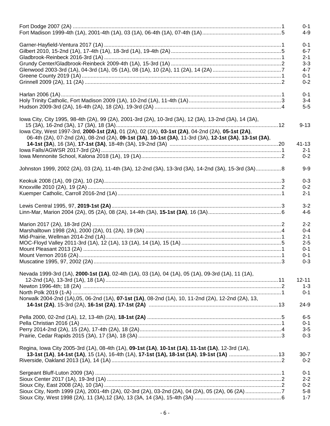|                                                                                                         | $0 - 1$<br>4-9     |
|---------------------------------------------------------------------------------------------------------|--------------------|
|                                                                                                         |                    |
|                                                                                                         | $0 - 1$            |
|                                                                                                         | $6 - 7$            |
|                                                                                                         | $2 - 1$            |
|                                                                                                         | $3 - 3$            |
|                                                                                                         | $4 - 7$            |
|                                                                                                         | $0 - 1$            |
|                                                                                                         | $0 - 2$            |
|                                                                                                         |                    |
|                                                                                                         | $0 - 1$<br>$3 - 4$ |
|                                                                                                         | $5-5$              |
|                                                                                                         |                    |
| lowa City, City 1995, 98-4th (2A), 99 (2A), 2001-3rd (2A), 10-3rd (3A), 12 (3A), 13-2nd (3A), 14 (3A),  |                    |
| lowa City, West 1997-3rd, 2000-1st (2A), 01 (2A), 02 (2A), 03-1st (2A), 04-2nd (2A), 05-1st (2A),       | $9 - 13$           |
| 06-4th (2A), 07-2nd (2A), 08-2nd (2A), 09-1st (3A), 10-1st (3A), 11-3rd (3A), 12-1st (3A), 13-1st (3A), |                    |
|                                                                                                         | 41-13              |
|                                                                                                         | $2 - 1$            |
|                                                                                                         | $0 - 2$            |
|                                                                                                         |                    |
| Johnston 1999, 2002 (2A), 03 (2A), 11-4th (3A), 12-2nd (3A), 13-3rd (3A), 14-2nd (3A), 15-3rd (3A)8     | $9 - 9$            |
|                                                                                                         | $0 - 3$            |
|                                                                                                         | $0 - 2$            |
|                                                                                                         | $2 - 1$            |
|                                                                                                         |                    |
|                                                                                                         | $3 - 2$            |
|                                                                                                         | $4 - 6$            |
|                                                                                                         | $2 - 2$            |
|                                                                                                         | $0 - 4$            |
|                                                                                                         | $2 - 1$            |
|                                                                                                         | $2 - 5$            |
|                                                                                                         | $0 - 1$            |
|                                                                                                         | $0 - 1$            |
|                                                                                                         | $0 - 3$            |
|                                                                                                         |                    |
| Nevada 1999-3rd (1A), 2000-1st (1A), 02-4th (1A), 03 (1A), 04 (1A), 05 (1A), 09-3rd (1A), 11 (1A),      |                    |
|                                                                                                         | $12 - 11$          |
|                                                                                                         | $1 - 3$            |
|                                                                                                         | $0 - 1$            |
| Norwalk 2004-2nd (1A),05, 06-2nd (1A), 07-1st (1A), 08-2nd (1A), 10, 11-2nd (2A), 12-2nd (2A), 13,      |                    |
|                                                                                                         | $24-9$             |
|                                                                                                         | $6-5$              |
|                                                                                                         | $0 - 1$            |
|                                                                                                         | $3-5$              |
|                                                                                                         | $0 - 3$            |
|                                                                                                         |                    |
| Regina, Iowa City 2005-3rd (1A), 08-4th (1A), 09-1st (1A), 10-1st (1A), 11-1st (1A), 12-3rd (1A),       |                    |
|                                                                                                         | 30-7               |
|                                                                                                         | $0 - 2$            |
|                                                                                                         |                    |
|                                                                                                         | $0 - 1$            |
|                                                                                                         | $2 - 2$            |
|                                                                                                         | $0 - 2$            |
|                                                                                                         | $5-8$              |
|                                                                                                         | $1 - 7$            |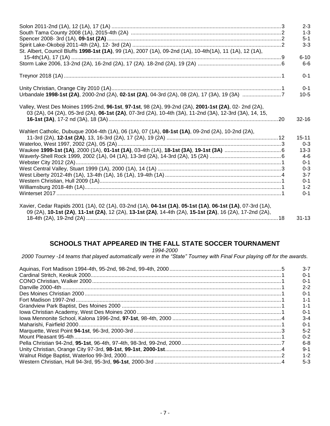| $2 - 3$                                                                                                                                                                                                                      |
|------------------------------------------------------------------------------------------------------------------------------------------------------------------------------------------------------------------------------|
| $1 - 3$                                                                                                                                                                                                                      |
| $5 - 1$                                                                                                                                                                                                                      |
| $3 - 3$                                                                                                                                                                                                                      |
| St. Albert, Council Bluffs 1998-1st (1A), 99 (1A), 2007 (1A), 09-2nd (1A), 10-4th(1A), 11 (1A), 12 (1A),                                                                                                                     |
| $6 - 10$                                                                                                                                                                                                                     |
| $6 - 6$                                                                                                                                                                                                                      |
| $0 - 1$                                                                                                                                                                                                                      |
| $0 - 1$                                                                                                                                                                                                                      |
| Urbandale 1998-1st (2A), 2000-2nd (2A), 02-1st (2A), 04-3rd (2A), 08 (2A), 17 (3A), 19 (3A) 7<br>$10-5$                                                                                                                      |
| Valley, West Des Moines 1995-2nd, 96-1st, 97-1st, 98 (2A), 99-2nd (2A), 2001-1st (2A), 02- 2nd (2A),<br>03 (2A), 04 (2A), 05-3rd (2A), 06-1st (2A), 07-3rd (2A), 10-4th (3A), 11-2nd (3A), 12-3rd (3A), 14, 15,<br>$32 - 16$ |
|                                                                                                                                                                                                                              |
| $15 - 11$                                                                                                                                                                                                                    |
| $0 - 3$                                                                                                                                                                                                                      |
| $13 - 3$                                                                                                                                                                                                                     |
| $4-6$                                                                                                                                                                                                                        |
| $0 - 1$<br>$0 - 3$                                                                                                                                                                                                           |
| $3 - 7$                                                                                                                                                                                                                      |
|                                                                                                                                                                                                                              |
|                                                                                                                                                                                                                              |
| $0 - 1$                                                                                                                                                                                                                      |
| $1 - 2$<br>$0 - 1$                                                                                                                                                                                                           |
|                                                                                                                                                                                                                              |

## SCHOOLS THAT APPEARED IN THE FALL STATE SOCCER TOURNAMENT

1994-2000

2000 Tourney -14 teams that played automatically were in the "State" Tourney with Final Four playing off for the awards.

|  | $3 - 7$ |
|--|---------|
|  | $0 - 1$ |
|  | $0 - 1$ |
|  | $2 - 2$ |
|  | $0 - 1$ |
|  | $1 - 1$ |
|  | 1-1     |
|  | $0 - 1$ |
|  | $3 - 4$ |
|  | $0 - 1$ |
|  | $5 - 2$ |
|  | $0 - 2$ |
|  | $6 - 8$ |
|  | $9 - 1$ |
|  | $1 - 2$ |
|  | $5-3$   |
|  |         |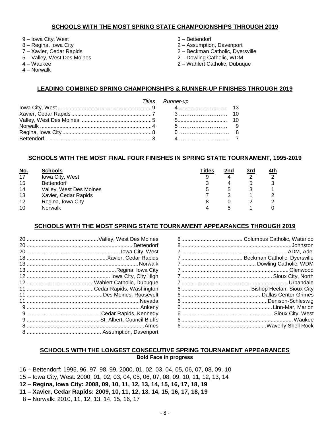#### **SCHOOLS WITH THE MOST SPRING STATE CHAMPOIONSHIPS THROUGH 2019**

- Iowa City, West
- 8 Regina, Iowa City
- Xavier, Cedar Rapids
- 5 Valley, West Des Moines
- Waukee
- 4 Norwalk
- 3 Bettendorf
- Assumption, Davenport
- 2 Beckman Catholic, Dyersville
- 2 Dowling Catholic, WDM
- 2 Wahlert Catholic, Dubuque

## **LEADING COMBINED SPRING CHAMPIONSHIPS & RUNNER-UP FINISHES THROUGH 2019**

|  | Titles Runner-up |  |
|--|------------------|--|
|  |                  |  |
|  |                  |  |
|  |                  |  |
|  |                  |  |
|  |                  |  |

## **SCHOOLS WITH THE MOST FINAL FOUR FINISHES IN SPRING STATE TOURNAMENT, 1995-2019**

| <u>No.</u> | <b>Schools</b>          | <b>Titles</b> | 2nd | <u>3rd</u> | <u>4th</u> |
|------------|-------------------------|---------------|-----|------------|------------|
| 17         | Iowa City, West         |               | 4   |            | ◠          |
| 15         | <b>Bettendorf</b>       |               | 4   |            |            |
| 14         | Valley, West Des Moines |               | 5   |            |            |
| 13         | Xavier, Cedar Rapids    |               |     |            |            |
| 12         | Regina, Iowa City       |               |     |            |            |
| 10         | <b>Norwalk</b>          |               | ∽   |            |            |

## **SCHOOLS WITH THE MOST SPRING STATE TOURNAMENT APPEARANCES THROUGH 2019**

## **SCHOOLS WITH THE LONGEST CONSECUTIVE SPRING TOURNAMENT APPEARANCES Bold Face in progress**

– Bettendorf: 1995, 96, 97, 98, 99, 2000, 01, 02, 03, 04, 05, 06, 07, 08, 09, 10

- 15 Iowa City, West: 2000, 01, 02, 03, 04, 05, 06, 07, 08, 09, 10, 11, 12, 13, 14
- **– Regina, Iowa City: 2008, 09, 10, 11, 12, 13, 14, 15, 16, 17, 18, 19**
- **– Xavier, Cedar Rapids: 2009, 10, 11, 12, 13, 14, 15, 16, 17, 18, 19**
- 8 Norwalk: 2010, 11, 12, 13, 14, 15, 16, 17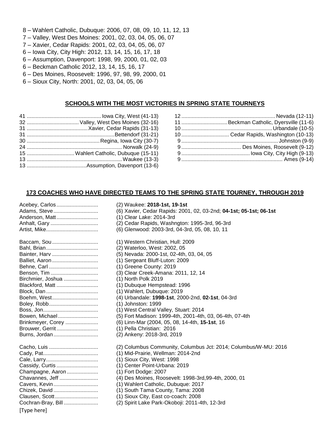- 8 Wahlert Catholic, Dubuque: 2006, 07, 08, 09, 10, 11, 12, 13
- 7 Valley, West Des Moines: 2001, 02, 03, 04, 05, 06, 07
- 7 Xavier, Cedar Rapids: 2001, 02, 03, 04, 05, 06, 07
- 6 Iowa City, City High: 2012, 13, 14, 15, 16, 17, 18
- 6 Assumption, Davenport: 1998, 99, 2000, 01, 02, 03
- 6 Beckman Catholic 2012, 13, 14, 15, 16, 17
- 6 Des Moines, Roosevelt: 1996, 97, 98, 99, 2000, 01
- 6 Sioux City, North: 2001, 02, 03, 04, 05, 06

## **SCHOOLS WITH THE MOST VICTORIES IN SPRING STATE TOURNEYS**

- 41 .................................................. Iowa City, West (41-13) 32 ...................................Valley, West Des Moines (32-16) 31 .........................................Xavier, Cedar Rapids (31-13) 31 ...........................................................Bettendorf (31-21) 30 .................................................Regina, Iowa City (30-7) 24 ................................................................ Norwalk (24-9) 15 ................................Wahlert Catholic, Dubuque (15-11) 13 ................................................................ Waukee (13-3) 13 ........................................Assumption, Davenport (13-6)
- 12 ............................................................... Nevada (12-11) 11 ...............................Beckman Catholic, Dyersville (11-6) 10 .............................................................Urbandale (10-5) 10 ................................ Cedar Rapids, Washington (10-13) 9 ................................................................. Johnston (9-9) 9 ........................................ Des Moines, Roosevelt (9-12) 9 .............................................. Iowa City, City High (9-13) 9 .................................................................... Ames (9-14)

## **173 COACHES WHO HAVE DIRECTED TEAMS TO THE SPRING STATE TOURNEY, THROUGH 2019**

| <u>Audine, oleve </u> | (0) Advier, Oeddr Rapids. 200 i  |
|-----------------------|----------------------------------|
| Anderson, Matt        | (1) Clear Lake: 2014-3rd         |
| Anhalt, Gary          | (2) Cedar Rapids, Washngton:     |
|                       | (6) Glenwood: 2003-3rd, 04-3rd   |
| Baccam, Sou           | (1) Western Christian, Hull: 200 |
|                       | (2) Waterloo, West: 2002, 05     |
| Bainter, Harv         | (5) Nevada: 2000-1st, 02-4th, 0  |
| Balliet, Aaron        | (1) Sergeant Bluff-Luton: 2009   |
| Behne, Carl           | (1) Greene County: 2019          |
| Benson, Tim           | (3) Clear Creek-Amana: 2011,     |
| Birchmier, Joshua     | (1) North Polk 2019              |
| Blackford, Matt       | (1) Dubuque Hempstead: 1996      |
|                       | (1) Wahlert, Dubuque: 2019       |
| Boehm, West           | (4) Urbandale: 1998-1st, 2000-   |
| Boley, Robb           | (1) Johnston: 1999               |
|                       | (1) West Central Valley, Stuart: |
| Bowen, Michael        | (5) Fort Madison: 1999-4th, 200  |
| Brinkmeyer, Corey     | (6) Linn-Mar (2004, 05, 08, 14-  |
| Brouwer, Gerrit       | (1) Pella Christian: 2016        |
| Burns, Jordan         | (2) Ankeny: 2018-3rd, 2019       |
| Cacho, Luis           | (2) Columbus Community, Colu     |
|                       | (1) Mid-Prairie, Wellman: 2014-  |
|                       | (1) Sioux City, West: 1998       |
| Cassidy, Curtis       | (1) Center Point-Urbana: 2019    |
| Champagne, Aaron      | (1) Fort Dodge: 2007             |
| Chavannes, Jeff       | (4) Des Moines, Roosevelt: 199   |
| Cavers, Kevin         | (1) Wahlert Catholic, Dubuque:   |
| Chizek, David         | (1) South Tama County, Tama:     |
| Clausen, Scott        | (1) Sioux City, East co-coach: 2 |
| Cochran-Bray, Bill    | (2) Spirit Lake Park-Okoboji: 20 |
| [Type here]           |                                  |
|                       |                                  |

| Acebey, Carlos     | (2) Waukee: 2018-1st, 19-1st                                       |
|--------------------|--------------------------------------------------------------------|
| Adams, Steve       | (6) Xavier, Cedar Rapids: 2001, 02, 03-2nd; 04-1st; 05-1st; 06-1st |
| Anderson, Matt     | (1) Clear Lake: 2014-3rd                                           |
| Anhalt, Gary       | (2) Cedar Rapids, Washngton: 1995-3rd, 96-3rd                      |
| Artist, Mike       | (6) Glenwood: 2003-3rd, 04-3rd, 05, 08, 10, 11                     |
| Baccam, Sou        | (1) Western Christian, Hull: 2009                                  |
|                    | (2) Waterloo, West: 2002, 05                                       |
| Bainter, Harv      | (5) Nevada: 2000-1st, 02-4th, 03, 04, 05                           |
| Balliet, Aaron     | (1) Sergeant Bluff-Luton: 2009                                     |
| Behne, Carl        | (1) Greene County: 2019                                            |
| Benson, Tim        | (3) Clear Creek-Amana: 2011, 12, 14                                |
| Birchmier, Joshua  | (1) North Polk 2019                                                |
| Blackford, Matt    | (1) Dubuque Hempstead: 1996                                        |
|                    | (1) Wahlert, Dubuque: 2019                                         |
| Boehm, West        | (4) Urbandale: 1998-1st, 2000-2nd, 02-1st, 04-3rd                  |
| Boley, Robb        | (1) Johnston: 1999                                                 |
|                    | (1) West Central Valley, Stuart: 2014                              |
| Bowen, Michael     | (5) Fort Madison: 1999-4th, 2001-4th, 03, 06-4th, 07-4th           |
| Brinkmeyer, Corey  | (6) Linn-Mar (2004, 05, 08, 14-4th, 15-1st, 16                     |
| Brouwer, Gerrit    | (1) Pella Christian: 2016                                          |
| Burns, Jordan      | (2) Ankeny: 2018-3rd, 2019                                         |
| Cacho, Luis        | (2) Columbus Community, Columbus Jct: 2014; Columbus/W-MU: 2016    |
|                    | (1) Mid-Prairie, Wellman: 2014-2nd                                 |
|                    | (1) Sioux City, West: 1998                                         |
| Cassidy, Curtis    | (1) Center Point-Urbana: 2019                                      |
| Champagne, Aaron   | (1) Fort Dodge: 2007                                               |
| Chavannes, Jeff    | (4) Des Moines, Roosevelt: 1998-3rd, 99-4th, 2000, 01              |
| Cavers, Kevin      | (1) Wahlert Catholic, Dubuque: 2017                                |
| Chizek, David      | (1) South Tama County, Tama: 2008                                  |
| Clausen, Scott     | (1) Sioux City, East co-coach: 2008                                |
| Cochran-Bray, Bill | (2) Spirit Lake Park-Okoboji: 2011-4th, 12-3rd                     |
| [Type here]        |                                                                    |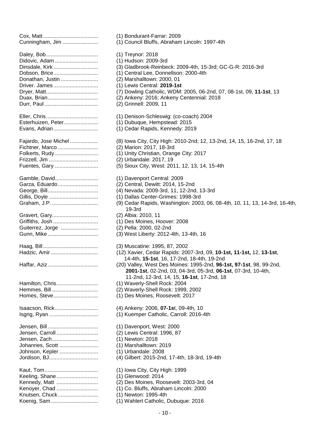Cox, Matt..................................... (1) Bondurant-Farrar: 2009 Daley, Bob................................... (1) Treynor: 2018 Didovic, Adam ............................. (1) Hudson: 2009-3rd Dobson, Brice.............................. (1) Central Lee, Donnellson: 2000-4th Donathan, Justin ......................... (2) Marshalltown: 2000, 01 Driver. James .............................. (1) Lewis Central: **2019-1st** Durr, Paul .................................... (2) Grinnell: 2009, 11 Eller, Chris................................... (1) Denison-Schleswig: (co-coach) 2004 Esterhuizen, Peter....................... (1) Dubuque, Hempstead: 2015 Evans, Adrian.............................. (1) Cedar Rapids, Kennedy: 2019 Fichtner, Marco ........................... (2) Marion: 2017, 18-3rd Folkerts, Rudy ............................. (1) Unity Christian, Orange City: 2017 Frizzell, Jim ................................. (2) Urbandale: 2017, 19 Gamble, David............................. (1) Davenport Central: 2009 Garza, Eduardo........................... (2) Central, Dewitt: 2014, 15-2nd George, Bill.................................. (4) Nevada: 2009-3rd, 11, 12-2nd, 13-3rd Gillis, Doyle ................................. (1) Dallas Center-Grimes: 1998-3rd Gravert, Gary............................... (2) Albia: 2010, 11 Griffiths, Josh .............................. (1) Des Moines, Hoover: 2008 Guiterrez, Jorge ......................... (2) Pella: 2000, 02-2nd Gunn, Mike.................................. (3) West Liberty: 2012-4th, 13-4th, 16 Haag, Bill..................................... (3) Muscatine: 1995, 87, 2002 Hamilton, Chris............................ (1) Waverly-Shell Rock: 2004 Hemmes, Bill ............................... (2) Waverly-Shell Rock: 1999, 2002 Homes, Steve.............................. (1) Des Moines, Roosevelt: 2017 Isaacson, Rick............................. (4) Ankeny: 2006, **07-1s**t, 09-4th, 10 Isgrig, Ryan ................................. (1) Kuemper Catholic, Carroll: 2016-4th Jensen, Bill.................................. (1) Davenport, West: 2000 Jensen, Carroll ............................ (2) Lewis Central: 1996, 87 Jensen, Zach............................... (1) Newton: 2018 Johannes, Scott .......................... (1) Marshalltown: 2019 Johnson, Kepler .......................... (1) Urbandale: 2008 Kaut, Tom.................................... (1) Iowa City, City High: 1999 Keeling, Shane............................ (1) Glenwood: 2014 Kennedy, Matt ............................ (2) Des Moines, Roosevelt: 2003-3rd, 04 Kenoyer, Chad ............................ (1) Co. Bluffs, Abraham Lincoln: 2000 Knutsen, Chuck........................... (1) Newton: 1995-4th Koenig, Sam................................ (1) Wahlert Catholic, Dubuque: 2016

Cunningham, Jim ........................ (1) Council Bluffs, Abraham Lincoln: 1997-4th Dinsdale, Kirk .............................. (3) Gladbrook-Reinbeck: 2009-4th, 15-3rd; GC-G-R: 2016-3rd Dryer, Matt................................... (7) Dowling Catholic, WDM: 2005, 06-2nd, 07, 08-1st, 09, **11-1st**, 13 Duax, Brian.................................. (2) Ankeny: 2016; Ankeny Centennial: 2018 Fajardo, Jose Michel ................... (8) Iowa City, City High: 2010-2nd; 12, 13-2nd, 14, 15, 16-2nd, 17, 18 Fuentes, Gary ............................. (5) Sioux City, West: 2011, 12, 13, 14, 15-4th Graham, J.P. ............................... (9) Cedar Rapids, Washington: 2003, 06, 08-4th, 10, 11, 13, 14-3rd, 16-4th, 19-3rd Hadzic, Amir................................ (12) Xavier, Cedar Rapids: 2007-3rd, 09, **10-1st, 11-1st,** 12, **13-1st**, 14-4th, **15-1st**, 16, 17-2nd, 18-4th, 19-2nd Haffar, Aziz.................................. (20) Valley, West Des Moines: 1995-2nd, **96-1st, 97-1st**, 98, 99-2nd, **2001-1st**, 02-2nd, 03, 04-3rd, 05-3rd, **06-1st**, 07-3rd, 10-4th, 11-2nd, 12-3rd, 14, 15, **16-1st**, 17-2nd, 18 Jordison, BJ................................. (4) Gilbert: 2015-2nd, 17-4th, 18-3rd, 19-4th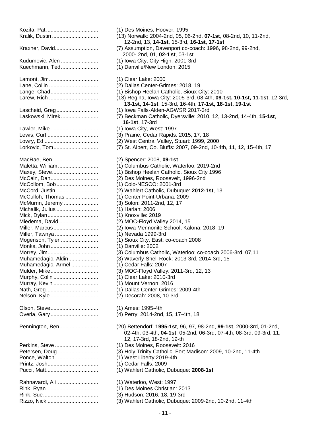| Nralik, Dustin                                                                                                                                                                                                                                                                                                                                                                    | (13) NORVAIK: 2004-200, 05, 06-4<br>12-2nd, 13, 14-1st, 15-3rd, 1                                                                                                                                                                                                                                                                                                                                                                                                                                                                                                                                                                                                                               |
|-----------------------------------------------------------------------------------------------------------------------------------------------------------------------------------------------------------------------------------------------------------------------------------------------------------------------------------------------------------------------------------|-------------------------------------------------------------------------------------------------------------------------------------------------------------------------------------------------------------------------------------------------------------------------------------------------------------------------------------------------------------------------------------------------------------------------------------------------------------------------------------------------------------------------------------------------------------------------------------------------------------------------------------------------------------------------------------------------|
| Kraxner, David                                                                                                                                                                                                                                                                                                                                                                    | (7) Assumption, Davenport co-co<br>2000- 2nd, 01, 02-1 st, 03-1st                                                                                                                                                                                                                                                                                                                                                                                                                                                                                                                                                                                                                               |
| Kudumovic, Alen<br>Kuechmann, Ted                                                                                                                                                                                                                                                                                                                                                 | (1) Iowa City, City High: 2001-3r<br>(1) Danville/New London: 2015                                                                                                                                                                                                                                                                                                                                                                                                                                                                                                                                                                                                                              |
| Lamont, Jim<br>Lange, Chad<br>Larew, Rich                                                                                                                                                                                                                                                                                                                                         | (1) Clear Lake: 2000<br>(2) Dallas Center-Grimes: 2018,<br>(1) Bishop Heelan Catholic, Siou<br>(13) Regina, Iowa City: 2005-3rd<br>13-1st, 14-1st, 15-3rd, 16-4th                                                                                                                                                                                                                                                                                                                                                                                                                                                                                                                               |
| Lascheid, Greg<br>Laskowski, Mirek                                                                                                                                                                                                                                                                                                                                                | (1) Iowa Falls-Alden-AGWSR 20<br>(7) Beckman Catholic, Dyersville<br>16-1st, 17-3rd                                                                                                                                                                                                                                                                                                                                                                                                                                                                                                                                                                                                             |
| Lawler, Mike<br>Lewis, Curt<br>Lorkovic, Tom                                                                                                                                                                                                                                                                                                                                      | (1) Iowa City, West: 1997<br>(3) Prairie, Cedar Rapids: 2015,<br>(2) West Central Valley, Stuart: 1<br>(7) St. Albert, Co. Bluffs: 2007, 0                                                                                                                                                                                                                                                                                                                                                                                                                                                                                                                                                      |
| MacRae, Ben<br>Maletta, William<br>Maxey, Steve<br>McCain, Dan<br>McCollom, Bob<br>McCord, Justin<br>McCulloh, Thomas<br>McMurrin, Jeremy<br>Michalik, Julius<br>Mick, Dylan<br>Miedema, David<br>Miller, Marcus<br>Miller, Tawnya<br>Mogenson, Tyler<br>Monks, John<br>Morrey, Jim<br>Muhamedagic, Aldin<br>Muhamedagic, Armel<br>Mulder, Mike<br>Murphy, Colin<br>Murray, Kevin | (2) Spencer: 2008, 09-1st<br>(1) Columbus Catholic, Waterloc<br>(1) Bishop Heelan Catholic, Siou<br>(2) Des Moines, Roosevelt, 1996<br>(1) Colo-NESCO: 2001-3rd<br>(2) Wahlert Catholic, Dubuque: 2<br>(1) Center Point-Urbana: 2009<br>(3) Solon: 2011-2nd, 12, 17<br>(1) Harlan: 2006<br>(1) Knoxville: 2019<br>(2) MOC-Floyd Valley 2014, 15<br>(2) Iowa Mennonite School, Kalc<br>(1) Nevada 1999-3rd<br>(1) Sioux City, East: co-coach 20<br>(1) Danville: 2002<br>(3) Columbus Catholic, Waterloc<br>(3) Waverly-Shell Rock: 2013-3r<br>(1) Cedar Falls: 2007<br>(3) MOC-Floyd Valley: 2011-3rd,<br>(1) Clear Lake: 2010-3rd<br>(1) Mount Vernon: 2016<br>(1) Dallas Center-Grimes: 2009- |
| Nelson, Kyle<br>Olson, Steve<br>Overla, Gary                                                                                                                                                                                                                                                                                                                                      | (2) Decorah: 2008, 10-3rd<br>(1) Ames: 1995-4th<br>(4) Perry: 2014-2nd, 15, 17-4th,                                                                                                                                                                                                                                                                                                                                                                                                                                                                                                                                                                                                             |
| Pennington, Ben                                                                                                                                                                                                                                                                                                                                                                   | (20) Bettendorf: 1995-1st, 96, 97<br>02-4th, 03-4th, 04-1st, 05-2n                                                                                                                                                                                                                                                                                                                                                                                                                                                                                                                                                                                                                              |
| Perkins, Steve<br>Petersen, Doug<br>Ponce, Walton                                                                                                                                                                                                                                                                                                                                 | 12, 17-3rd, 18-2nd, 19-th<br>(1) Des Moines, Roosevelt: 2016<br>(3) Holy Trinity Catholic, Fort Ma<br>(1) West Liberty 2019-4th<br>(1) Cedar Falls: 2009<br>(1) Wahlert Catholic, Dubuque: 2                                                                                                                                                                                                                                                                                                                                                                                                                                                                                                    |
| Rahnavardi, Ali                                                                                                                                                                                                                                                                                                                                                                   | (1) Waterloo, West: 1997<br>(1) Des Moines Christian: 2013<br>(3) Hudson: 2016, 18, 19-3rd<br>(3) Wahlert Catholic, Dubuque: 2                                                                                                                                                                                                                                                                                                                                                                                                                                                                                                                                                                  |
|                                                                                                                                                                                                                                                                                                                                                                                   |                                                                                                                                                                                                                                                                                                                                                                                                                                                                                                                                                                                                                                                                                                 |

|                                      | (1) Des Moines, Hoover: 1995                                                                                                                                             |
|--------------------------------------|--------------------------------------------------------------------------------------------------------------------------------------------------------------------------|
| Kralik, Dustin                       | (13) Norwalk: 2004-2nd, 05, 06-2nd, 07-1st, 08-2nd, 10, 11-2nd,<br>12-2nd, 13, 14-1st, 15-3rd, 16-1st, 17-1st                                                            |
| Kraxner, David                       | (7) Assumption, Davenport co-coach: 1996, 98-2nd, 99-2nd,<br>2000- 2nd, 01, 02-1 st, 03-1st                                                                              |
| Kudumovic, Alen                      | (1) Iowa City, City High: 2001-3rd                                                                                                                                       |
| Kuechmann, Ted                       | (1) Danville/New London: 2015                                                                                                                                            |
| Lamont, Jim                          | (1) Clear Lake: 2000                                                                                                                                                     |
| Lane, Collin                         | (2) Dallas Center-Grimes: 2018, 19                                                                                                                                       |
| Lange, Chad                          | (1) Bishop Heelan Catholic, Sioux City: 2010                                                                                                                             |
| Larew, Rich                          | (13) Regina, Iowa City: 2005-3rd, 08-4th, 09-1st, 10-1st, 11-1st, 12-3rd,<br>13-1st, 14-1st, 15-3rd, 16-4th, 17-1st, 18-1st, 19-1st                                      |
| Lascheid, Greg                       | (1) Iowa Falls-Alden-AGWSR 2017-3rd                                                                                                                                      |
| Laskowski, Mirek                     | (7) Beckman Catholic, Dyersville: 2010, 12, 13-2nd, 14-4th, 15-1st,<br>16-1st, 17-3rd                                                                                    |
| Lawler, Mike                         | (1) Iowa City, West: 1997                                                                                                                                                |
| Lewis, Curt                          | (3) Prairie, Cedar Rapids: 2015, 17, 18                                                                                                                                  |
|                                      | (2) West Central Valley, Stuart: 1999, 2000                                                                                                                              |
| Lorkovic, Tom                        | (7) St. Albert, Co. Bluffs: 2007, 09-2nd, 10-4th, 11, 12, 15-4th, 17                                                                                                     |
| MacRae, Ben                          | (2) Spencer: 2008, 09-1st                                                                                                                                                |
| Maletta, William                     | (1) Columbus Catholic, Waterloo: 2019-2nd                                                                                                                                |
| Maxey, Steve                         | (1) Bishop Heelan Catholic, Sioux City 1996                                                                                                                              |
| McCain, Dan                          | (2) Des Moines, Roosevelt, 1996-2nd                                                                                                                                      |
| McCollom, Bob                        | (1) Colo-NESCO: 2001-3rd                                                                                                                                                 |
| McCord, Justin                       | (2) Wahlert Catholic, Dubuque: 2012-1st, 13                                                                                                                              |
| McCulloh, Thomas                     | (1) Center Point-Urbana: 2009                                                                                                                                            |
| McMurrin, Jeremy<br>Michalik, Julius | (3) Solon: 2011-2nd, 12, 17<br>(1) Harlan: 2006                                                                                                                          |
| Mick, Dylan                          | (1) Knoxville: 2019                                                                                                                                                      |
| Miedema, David                       | (2) MOC-Floyd Valley 2014, 15                                                                                                                                            |
| Miller, Marcus                       | (2) Iowa Mennonite School, Kalona: 2018, 19                                                                                                                              |
| Miller, Tawnya                       | (1) Nevada 1999-3rd                                                                                                                                                      |
| Mogenson, Tyler                      | (1) Sioux City, East: co-coach 2008                                                                                                                                      |
| Monks, John                          | (1) Danville: 2002                                                                                                                                                       |
| Morrey, Jim                          | (3) Columbus Catholic, Waterloo: co-coach 2006-3rd, 07,11                                                                                                                |
| Muhamedagic, Aldin                   | (3) Waverly-Shell Rock: 2013-3rd, 2014-3rd, 15                                                                                                                           |
| Muhamedagic, Armel                   | (1) Cedar Falls: 2007                                                                                                                                                    |
| Mulder, Mike                         | (3) MOC-Floyd Valley: 2011-3rd, 12, 13                                                                                                                                   |
| Murphy, Colin                        | (1) Clear Lake: 2010-3rd                                                                                                                                                 |
| Murray, Kevin                        | (1) Mount Vernon: 2016                                                                                                                                                   |
|                                      | (1) Dallas Center-Grimes: 2009-4th                                                                                                                                       |
| Nelson, Kyle                         | (2) Decorah: 2008, 10-3rd                                                                                                                                                |
| Olson, Steve                         | (1) Ames: 1995-4th                                                                                                                                                       |
| Overla, Gary                         | (4) Perry: 2014-2nd, 15, 17-4th, 18                                                                                                                                      |
| Pennington, Ben                      | (20) Bettendorf: 1995-1st, 96, 97, 98-2nd, 99-1st, 2000-3rd, 01-2nd,<br>02-4th, 03-4th, 04-1st, 05-2nd, 06-3rd, 07-4th, 08-3rd, 09-3rd, 11,<br>12, 17-3rd, 18-2nd, 19-th |
| Perkins, Steve                       | (1) Des Moines, Roosevelt: 2016                                                                                                                                          |
| Petersen, Doug                       | (3) Holy Trinity Catholic, Fort Madison: 2009, 10-2nd, 11-4th                                                                                                            |
| Ponce, Walton                        | (1) West Liberty 2019-4th                                                                                                                                                |
| Printz, Josh                         | (1) Cedar Falls: 2009                                                                                                                                                    |
|                                      | (1) Wahlert Catholic, Dubuque: 2008-1st                                                                                                                                  |
| Rahnavardi, Ali                      | (1) Waterloo, West: 1997                                                                                                                                                 |
|                                      | (1) Des Moines Christian: 2013                                                                                                                                           |
|                                      | (3) Hudson: 2016, 18, 19-3rd                                                                                                                                             |
| Rizzo, Nick                          | (3) Wahlert Catholic, Dubuque: 2009-2nd, 10-2nd, 11-4th                                                                                                                  |
|                                      |                                                                                                                                                                          |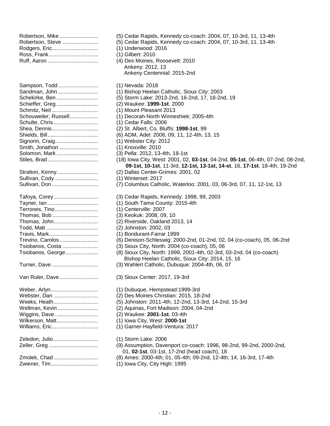| Robertson, Steve |
|------------------|
|                  |
|                  |
|                  |

| Sampson, Todd        |
|----------------------|
| Sandman, John        |
| Schekirke, Ben       |
| Schieffer, Greg      |
| Schmitz, Neil        |
| Schouweiler, Russell |
| Schulte, Chris       |
| Shea, Dennis         |
| Shields, Bill        |
| Signorin, Craig      |
| Smith, Jonathon      |
| Solomon, Mark        |
| Stiles, Brad         |
|                      |
| Stratton, Kenny      |
| Sullivan, Cody       |
| Sullivan, Don        |
|                      |
| Tafoya, Corey        |
|                      |
|                      |
| Terrones, Tino       |
| Thomas, Bob          |
| Thomas, John         |
|                      |
| Travis, Mark         |
| Trevino, Carolos     |
| Tsiobanos, Costa     |
| Tsiobanos, George    |
|                      |
| Turner, Dave         |
|                      |
| Van Ruler, Dave      |
|                      |
| Weber, Arlyn         |
| Webster, Dan         |
| Weeks, Heath         |
| Wellman, Kevin       |
| Wiggins, Dave        |
| Wilkerson, Matt      |
| Williams, Eric       |
| Zeledon, Julio       |
| Zeller, Greg         |
|                      |
| Zmolek, Chad         |
| Zwiener, Tim         |

(5) Cedar Rapids, Kennedy co-coach: 2004, 07, 10-3rd, 11, 13-4th (5) Cedar Rapids, Kennedy co-coach: 2004, 07, 10-3rd, 11, 13-4th  $(1)$  Underwood: 2016 (1) Gilbert: 2010 (4) Des Moines, Roosevelt: 2010 Ankeny: 2012, 13 Ankeny Centennial: 2015-2nd (1) Nevada: 2018 (1) Bishop Heelan Catholic, Sioux City: 2003 (5) Storm Lake: 2013-2nd, 16-2nd, 17, 18-2nd, 19 Schieffer, Greg ............................ (2) Waukee: **1999-1st**, 2000 (1) Mount Pleasant 2013 (1) Decorah-North Winneshiek: 2005-4th (1) Cedar Falls: 2006 (2) St. Albert, Co. Bluffs: **1998-1st**, 99 (6) ADM, Adel: 2006, 09, 11, 12-4th, 13, 15  $(1)$  Webster City: 2012 (1) Knoxville: 2010 (3) Pella: 2012, 13-4th, 18-1st (18) Iowa City, West: 2001, 02, 03-1st, 04-2nd, 05-1st, 06-4th, 07-2nd, 08-2nd, **09-1st, 10-1st**, 11-3rd, **12-1st, 13-1st, 14-st**, 16, **17-1st**, 18-4th, 19-2nd (2) Dallas Center-Grimes: 2001, 02 (1) Winterset: 2017 (7) Columbus Catholic, Waterloo: 2001, 03, 06-3rd, 07, 11, 12-1st, 13 (3) Cedar Rapids, Kennedy: 1998, 99, 2003 (1) South Tama County: 2015-4th (1) Centerville: 2007 (3) Keokuk: 2008, 09, 10 (2) Riverside, Oakland 2013, 14 (2) Johnston: 2002, 03 (1) Bondurant-Farrar 1999 (6) Denison-Schleswig: 2000-2nd, 01-2nd, 02, 04 (co-coach), 05, 06-2nd (3) Sioux City, North: 2004 (co-coach), 05, 06 (8) Sioux City, North: 1999, 2001-4th, 02-3rd, 03-2nd, 04 (co-coach) Bishop Heelan Catholic, Sioux City: 2014, 15, 16 (3) Wahlert Catholic, Dubuque: 2004-4th, 06, 07 (3) Sioux Center: 2017, 19-3rd (1) Dubuque, Hempstead:1999-3rd (2) Des Moines Christian: 2015, 18-2nd (5) Johnston: 2011-4th, 12-2nd, 13-3rd, 14-2nd, 15-3rd (2) Aquinas, Fort Madison: 2004, 04-2nd Wiggins, Dave ............................. (2) Waukee: **2001-1st**, 03-4th (1) Iowa City, West: 2000-1st (1) Garner-Hayfield-Ventura: 2017 (1) Storm Lake: 2006 (9) Assumption, Davenport co-coach: 1996, 98-2nd, 99-2nd, 2000-2nd, 01, **02-1st**, 03-1st, 17-2nd (head coach), 18 (8) Ames: 2000-4th; 01, 05-4th; 09-2nd, 12-4th; 14, 16-3rd, 17-4th

(1) Iowa City, City High: 1995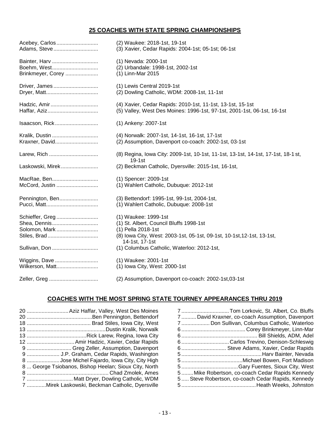## **25 COACHES WITH STATE SPRING CHAMPIONSHIPS**

| Acebey, Carlos    | (2) Waukee: 2018-1st, 19-1st                                                                  |
|-------------------|-----------------------------------------------------------------------------------------------|
| Adams, Steve      | (3) Xavier, Cedar Rapids: 2004-1st; 05-1st; 06-1st                                            |
| Bainter, Harv     | (1) Nevada: 2000-1st                                                                          |
| Boehm, West       | (2) Urbandale: 1998-1st, 2002-1st                                                             |
| Brinkmeyer, Corey | (1) Linn-Mar 2015                                                                             |
| Driver, James     | (1) Lewis Central 2019-1st                                                                    |
|                   | (2) Dowling Catholic, WDM: 2008-1st, 11-1st                                                   |
| Hadzic, Amir      | (4) Xavier, Cedar Rapids: 2010-1st, 11-1st, 13-1st, 15-1st                                    |
|                   | (5) Valley, West Des Moines: 1996-1st, 97-1st, 2001-1st, 06-1st, 16-1st                       |
| Isaacson, Rick    | (1) Ankeny: 2007-1st                                                                          |
| Kralik, Dustin    | (4) Norwalk: 2007-1st, 14-1st, 16-1st, 17-1st                                                 |
| Kraxner, David    | (2) Assumption, Davenport co-coach: 2002-1st, 03-1st                                          |
| Larew, Rich       | (8) Regina, Iowa City: 2009-1st, 10-1st, 11-1st, 13-1st, 14-1st, 17-1st, 18-1 st,<br>$19-1st$ |
| Laskowski, Mirek  | (2) Beckman Catholic, Dyersville: 2015-1st, 16-1st,                                           |
| MacRae, Ben       | (1) Spencer: 2009-1st                                                                         |
| McCord, Justin    | (1) Wahlert Catholic, Dubuque: 2012-1st                                                       |
| Pennington, Ben   | (3) Bettendorf: 1995-1st, 99-1st, 2004-1st,                                                   |
|                   | (1) Wahlert Catholic, Dubuque: 2008-1st                                                       |
| Schieffer, Greg   | (1) Waukee: 1999-1st                                                                          |
| Shea, Dennis      | (1) St. Albert, Council Bluffs 1998-1st                                                       |
| Solomon, Mark     | (1) Pella 2018-1st                                                                            |
|                   | (8) Iowa City, West: 2003-1st, 05-1st, 09-1st, 10-1st, 12-1st, 13-1st,<br>14-1st, 17-1st      |
| Sullivan, Don     | (1) Columbus Catholic, Waterloo: 2012-1st,                                                    |
| Wiggins, Dave     | (1) Waukee: 2001-1st                                                                          |
| Wilkerson, Matt   | (1) Iowa City, West: 2000-1st                                                                 |
|                   | (2) Assumption, Davenport co-coach: 2002-1st,03-1st                                           |

## **COACHES WITH THE MOST SPRING STATE TOURNEY APPEARANCES THRU 2019**

| 20  Aziz Haffar, Valley, West Des Moines             |
|------------------------------------------------------|
|                                                      |
|                                                      |
|                                                      |
|                                                      |
| 12  Amir Hadzic, Xavier, Cedar Rapids                |
| 9  Greg Zeller, Assumption, Davenport                |
| 9  J.P. Graham, Cedar Rapids, Washington             |
| 8 Jose Michel Fajardo, Iowa City, City High          |
| 8 George Tsiobanos, Bishop Heelan; Sioux City, North |
|                                                      |
| 7  Matt Dryer, Dowling Catholic, WDM                 |
| 7 Mirek Laskowski, Beckman Catholic, Dyersville      |

| 7Tom Lorkovic, St. Albert, Co. Bluffs             |
|---------------------------------------------------|
| 7  David Kraxner, co-coach Assumption, Davenport  |
| 7 Don Sullivan, Columbus Catholic, Waterloo       |
|                                                   |
|                                                   |
| 6Carlos Trevino, Denison-Schleswig                |
| 6 Steve Adams, Xavier, Cedar Rapids               |
|                                                   |
|                                                   |
|                                                   |
| 5Mike Robertson, co-coach Cedar Rapids Kennedy    |
| 5 Steve Robertson, co-coach Cedar Rapids, Kennedy |
|                                                   |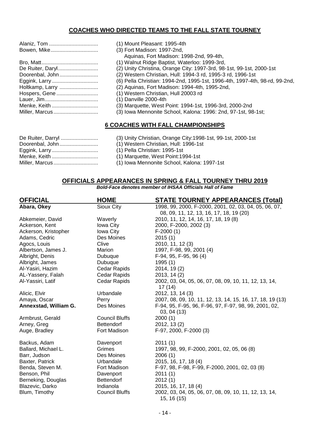## **COACHES WHO DIRECTED TEAMS TO THE FALL STATE TOURNEY**

| Alaniz, Tom     |
|-----------------|
| Bowen, Mike     |
|                 |
|                 |
|                 |
| Doorenbal, John |
|                 |
| Holtkamp, Larry |
| Hospers, Gene   |
|                 |
| Menke, Keith    |
| Miller, Marcus  |

- (1) Mount Pleasant: 1995-4th
- (3) Fort Madison: 1997-2nd,
- Aquinas, Fort Madison: 1998-2nd, 99-4th,
- (1) Walnut Ridge Baptist, Waterloo: 1999-3rd,
- (2) Unity Christina, Orange City: 1997-3rd, 98-1st, 99-1st, 2000-1st
- (2) Western Christian, Hull: 1994-3 rd, 1995-3 rd, 1996-1st
- (6) Pella Christian: 1994-2nd, 1995-1st, 1996-4th, 1997-4th, 98-rd, 99-2nd,
- (2) Aquinas, Fort Madison: 1994-4th, 1995-2nd,

(1) Western Christian, Hull 20003 rd

- $(1)$  Danville 2000-4th
- (3) Marquette, West Point: 1994-1st, 1996-3rd, 2000-2nd
- (3) Iowa Mennonite School, Kalona: 1996: 2nd, 97-1st, 98-1st;

#### **6 COACHES WITH FALL CHAMPIONSHIPS**

- Doorenbal, John.......................... (1) Western Christian, Hull: 1996-1st Eggink, Larry ............................... (1) Pella Christian: 1995-1st Menke, Keith ............................... (1) Marquette, West Point:1994-1st
- De Ruiter, Darryl ......................... (3) Unity Christian, Orange City:1998-1st, 99-1st, 2000-1st
	-
	-
	-
- Miller, Marcus .............................. (1) Iowa Mennonite School, Kalona: 1997-1st

#### **OFFICIALS APPEARANCES IN SPRING & FALL TOURNEY THRU 2019**

*Bold-Face denotes member of IHSAA Officials Hall of Fame*

| <b>OFFICIAL</b>       | <b>HOME</b>           | <b>STATE TOURNEY APPEARANCES (Total)</b>                             |
|-----------------------|-----------------------|----------------------------------------------------------------------|
| Abara, Okey           | Sioux City            | 1998, 99, 2000, F-2000, 2001, 02, 03, 04, 05, 06, 07,                |
|                       |                       | 08, 09, 11, 12, 13, 16, 17, 18, 19 (20)                              |
| Abkemeier, David      | Waverly               | 2010, 11, 12, 14, 16, 17, 18, 19(8)                                  |
| Ackerson, Kent        | Iowa City             | 2000, F-2000, 2002 (3)                                               |
| Ackerson, Kristopher  | Iowa City             | $F-2000(1)$                                                          |
| Adams, Cedric         | Des Moines            | 2015(1)                                                              |
| Agocs, Louis          | Clive                 | 2010, 11, 12 (3)                                                     |
| Albertson, James J.   | Marion                | 1997, F-98, 99, 2001 (4)                                             |
| Albright, Denis       | Dubuque               | F-94, 95, F-95, 96 (4)                                               |
| Albright, James       | Dubuque               | 1995(1)                                                              |
| Al-Yasiri, Hazim      | Cedar Rapids          | 2014, 19(2)                                                          |
| AL-Yassery, Falah     | Cedar Rapids          | 2013, 14 (2)                                                         |
| Al-Yassiri, Latif     | Cedar Rapids          | 2002, 03, 04, 05, 06, 07, 08, 09, 10, 11, 12, 13, 14,<br>17(14)      |
| Alicic, Elvir         | Urbandale             | 2012, 13, 14 (3)                                                     |
| Amaya, Oscar          | Perry                 | 2007, 08, 09, 10, 11, 12, 13, 14, 15, 16, 17, 18, 19 (13)            |
| Annexstad, William G. | Des Moines            | F-94, 95, F-95, 96, F-96, 97, F-97, 98, 99, 2001, 02,<br>03, 04 (13) |
| Armbrust, Gerald      | <b>Council Bluffs</b> | 2000(1)                                                              |
| Arney, Greg           | <b>Bettendorf</b>     | 2012, 13 (2)                                                         |
| Auge, Bradley         | Fort Madison          | F-97, 2000, F-2000 (3)                                               |
| Backus, Adam          | Davenport             | 2011(1)                                                              |
| Ballard, Michael L.   | Grimes                | 1997, 98, 99, F-2000, 2001, 02, 05, 06 (8)                           |
| Barr, Judson          | Des Moines            | 2006(1)                                                              |
| Baxter, Patrick       | Urbandale             | 2015, 16, 17, 18 (4)                                                 |
| Benda, Steven M.      | Fort Madison          | F-97, 98, F-98, F-99, F-2000, 2001, 02, 03 (8)                       |
| Benson, Phil          | Davenport             | 2011(1)                                                              |
| Berneking, Douglas    | <b>Bettendorf</b>     | 2012(1)                                                              |
| Blazevic, Darko       | Indianola             | 2015, 16, 17, 18 (4)                                                 |
| Blum, Timothy         | <b>Council Bluffs</b> | 2002, 03, 04, 05, 06, 07, 08, 09, 10, 11, 12, 13, 14,                |
|                       |                       | 15, 16 (15)                                                          |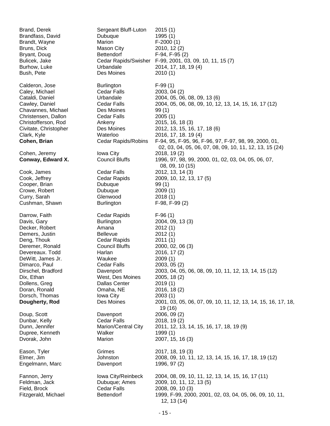| Brand, Derek          | Sergeant Bluff-Luton       | 2015(1)                                                                |
|-----------------------|----------------------------|------------------------------------------------------------------------|
| Brandfass, David      | Dubuque                    | 1995 (1)                                                               |
| Brandt, Wayne         | Marion                     | $F-2000(1)$                                                            |
| Bruns, Dick           | Mason City                 | 2010, 12 (2)                                                           |
| Bryant, Doug          | <b>Bettendorf</b>          | F-94, F-95 (2)                                                         |
| Bulicek, Jake         | Cedar Rapids/Swisher       | F-99, 2001, 03, 09, 10, 11, 15(7)                                      |
| Burhow, Luke          | Urbandale                  | 2014, 17, 18, 19 (4)                                                   |
| Bush, Pete            | Des Moines                 | 2010(1)                                                                |
| Calderon, Jose        | <b>Burlington</b>          | $F-99(1)$                                                              |
| Caley, Michael        | Cedar Falls                | 2003, 04 (2)                                                           |
| Cataldi, Daniel       | Urbandale                  | 2004, 05, 06, 08, 09, 13 (6)                                           |
| Cawley, Daniel        | Cedar Falls                | 2004, 05, 06, 08, 09, 10, 12, 13, 14, 15, 16, 17 (12)                  |
| Chavannes, Michael    | Des Moines                 | 99(1)                                                                  |
| Christensen, Dallon   | <b>Cedar Falls</b>         | 2005(1)                                                                |
| Christofferson, Rod   | Ankeny                     | 2015, 16, 18 (3)                                                       |
| Civitate, Christopher | Des Moines                 | 2012, 13, 15, 16, 17, 18 (6)                                           |
| Clark, Kyle           | Waterloo                   | 2016, 17, 18. 19 (4)                                                   |
| Cohen, Brian          | <b>Cedar Rapids/Robins</b> | F-94, 95, F-95, 96, F-96, 97, F-97, 98, 99, 2000, 01,                  |
|                       |                            | 02, 03, 04, 05, 06, 07, 08, 09, 10, 11, 12, 13, 15 (24)                |
| Cohen, Jeremy         | Iowa City                  | 2018, 19(2)                                                            |
| Conway, Edward X.     | <b>Council Bluffs</b>      | 1996, 97, 98, 99, 2000, 01, 02, 03, 04, 05, 06, 07,<br>08, 09, 10 (15) |
| Cook, James           | <b>Cedar Falls</b>         | 2012, 13, 14 (3)                                                       |
| Cook, Jeffrey         | Cedar Rapids               | 2009, 10, 12, 13, 17 (5)                                               |
| Cooper, Brian         | Dubuque                    | 99(1)                                                                  |
| Crowe, Robert         | Dubuque                    | 2009(1)                                                                |
| Curry, Sarah          | Glenwood                   | 2018(1)                                                                |
| Cushman, Shawn        | <b>Burlington</b>          | $F-98, F-99(2)$                                                        |
| Darrow, Faith         | Cedar Rapids               | $F-96(1)$                                                              |
| Davis, Gary           | <b>Burlington</b>          | 2004, 09, 13 (3)                                                       |
| Decker, Robert        | Amana                      | 2012(1)                                                                |
| Demers, Justin        | <b>Bellevue</b>            | 2012(1)                                                                |
| Deng, Thouk           | Cedar Rapids               | 2011(1)                                                                |
| Deremer, Ronald       | <b>Council Bluffs</b>      | 2000, 02, 06 (3)                                                       |
| Devereaux. Todd       | Harlan                     | 2016, 17 (2)                                                           |
| DeWitt, James Jr.     | Waukee                     | 2009(1)                                                                |
| Dimarco, Paul         | Cedar Falls                | 2003, 05 (2)                                                           |
| Dirschel, Bradford    | Davenport                  | 2003, 04, 05, 06, 08, 09, 10, 11, 12, 13, 14, 15 (12)                  |
| Dix, Ethan            | West, Des Moines           | 2005, 18 (2)                                                           |
| Dollens, Greg         | <b>Dallas Center</b>       | 2019(1)                                                                |
| Doran, Ronald         | Omaha, NE                  | 2016, 18(2)                                                            |
| Dorsch, Thomas        | Iowa City                  | 2003(1)                                                                |
| Dougherty, Rod        | Des Moines                 | 2001, 03, 05, 06, 07, 09, 10, 11, 12, 13, 14, 15, 16, 17, 18,          |
|                       |                            | 19 (16)                                                                |
| Doup, Scott           | Davenport                  | 2006, 09 (2)                                                           |
| Dunbar, Kelly         | Cedar Falls                | 2018, 19(2)                                                            |
| Dunn, Jennifer        | <b>Marion/Central City</b> | 2011, 12, 13, 14, 15, 16, 17, 18, 19 (9)                               |
| Dupree, Kenneth       | Walker                     | 1999(1)                                                                |
| Dvorak, John          | Marion                     | 2007, 15, 16 (3)                                                       |
| Eason, Tyler          | Grimes                     | 2017, 18, 19 (3)                                                       |
| Elmer, Jim            | Johnston                   | 2008, 09, 10, 11, 12, 13, 14, 15, 16, 17, 18, 19 (12)                  |
| Engelmann, Marc       | Davenport                  | 1996, 97 (2)                                                           |
| Fannon, Jerry         | Iowa City/Reinbeck         | 2004, 08, 09, 10, 11, 12, 13, 14, 15, 16, 17 (11)                      |
| Feldman, Jack         | Dubuque; Ames              | 2009, 10, 11, 12, 13 (5)                                               |
| Field, Brock          | <b>Cedar Falls</b>         | 2008, 09, 10 (3)                                                       |
| Fitzgerald, Michael   | <b>Bettendorf</b>          | 1999, F-99, 2000, 2001, 02, 03, 04, 05, 06, 09, 10, 11,<br>12, 13 (14) |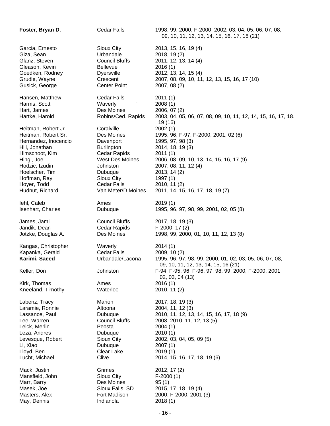| Foster, Bryan D.                                                       | <b>Cedar Falls</b>                                                | 1998, 99, 2000, F-2000, 2002, 03, 04, 05, 06, 07, 08,<br>09, 10, 11, 12, 13, 14, 15, 16, 17, 18 (21)                                                                               |
|------------------------------------------------------------------------|-------------------------------------------------------------------|------------------------------------------------------------------------------------------------------------------------------------------------------------------------------------|
| Garcia, Ernesto                                                        | Sioux City                                                        | 2013, 15, 16, 19 (4)                                                                                                                                                               |
| Giza, Sean                                                             | Urbandale                                                         | 2018, 19(2)                                                                                                                                                                        |
| Glanz, Steven                                                          | <b>Council Bluffs</b>                                             | 2011, 12, 13, 14 (4)                                                                                                                                                               |
| Gleason, Kevin                                                         | <b>Bellevue</b>                                                   | 2016(1)                                                                                                                                                                            |
| Goedken, Rodney                                                        | <b>Dyersville</b>                                                 | 2012, 13, 14, 15 (4)                                                                                                                                                               |
| Grudle, Wayne                                                          | Crescent                                                          | 2007, 08, 09, 10, 11, 12, 13, 15, 16, 17 (10)                                                                                                                                      |
| Gusick, George                                                         | <b>Center Point</b>                                               | 2007, 08 (2)                                                                                                                                                                       |
| Hansen, Matthew<br>Harms, Scott<br>Hart, James<br>Hartke, Harold       | <b>Cedar Falls</b><br>Waverly<br>Des Moines<br>Robins/Ced. Rapids | 2011(1)<br>2008(1)<br>2006, 07 (2)<br>2003, 04, 05, 06, 07, 08, 09, 10, 11, 12, 14, 15, 16, 17, 18.<br>19 (16)                                                                     |
| Heitman, Robert Jr.                                                    | Coralville                                                        | 2002(1)                                                                                                                                                                            |
| Heitman, Robert Sr.                                                    | Des Moines                                                        | 1995, 96, F-97, F-2000, 2001, 02 (6)                                                                                                                                               |
| Hernandez, Inocencio                                                   | Davenport                                                         | 1995, 97, 98 (3)                                                                                                                                                                   |
| Hill, Jonathan                                                         | <b>Burlington</b>                                                 | 2014, 18, 19 (3)                                                                                                                                                                   |
| Himschoot, Kim                                                         | Cedar Rapids                                                      | 2011(1)                                                                                                                                                                            |
| Hingl, Joe                                                             | <b>West Des Moines</b>                                            | 2006, 08, 09, 10, 13, 14, 15, 16, 17(9)                                                                                                                                            |
| Hodzic, Izudin                                                         | Johnston                                                          | 2007, 08, 11, 12 (4)                                                                                                                                                               |
| Hoelscher, Tim                                                         | Dubuque                                                           | 2013, 14 (2)                                                                                                                                                                       |
| Hoffman, Ray                                                           | Sioux City                                                        | 1997(1)                                                                                                                                                                            |
| Hoyer, Todd                                                            | <b>Cedar Falls</b>                                                | 2010, 11 (2)                                                                                                                                                                       |
| Hudnut, Richard                                                        | Van Meter/D Moines                                                | 2011, 14, 15, 16, 17, 18, 19(7)                                                                                                                                                    |
| lehl, Caleb                                                            | Ames                                                              | 2019(1)                                                                                                                                                                            |
| Isenhart, Charles                                                      | Dubuque                                                           | 1995, 96, 97, 98, 99, 2001, 02, 05 (8)                                                                                                                                             |
| James, Jami                                                            | <b>Council Bluffs</b>                                             | 2017, 18, 19 (3)                                                                                                                                                                   |
| Jandik, Dean                                                           | Cedar Rapids                                                      | F-2000, 17 (2)                                                                                                                                                                     |
| Jotzke, Douglas A.                                                     | Des Moines                                                        | 1998, 99, 2000, 01, 10, 11, 12, 13(8)                                                                                                                                              |
| Kangas, Christopher<br>Kapanka, Gerald<br>Karimi, Saeed<br>Keller, Don | Waverly<br>Cedar Falls<br>Urbandale/Lacona                        | 2014(1)<br>2009, 10 (2)<br>1995, 96, 97, 98, 99, 2000, 01, 02, 03, 05, 06, 07, 08,<br>09, 10, 11, 12, 13, 14, 15, 16 (21)<br>F-94, F-95, 96, F-96, 97, 98, 99, 2000, F-2000, 2001, |
| Kirk, Thomas<br>Kneeland, Timothy                                      | Johnston<br>Ames<br>Waterloo                                      | 02, 03, 04 (13)<br>2016(1)<br>2010, 11 (2)                                                                                                                                         |
| Labenz, Tracy                                                          | Marion                                                            | 2017, 18, 19 (3)                                                                                                                                                                   |
| Laramie, Ronnie                                                        | Altoona                                                           | 2004, 11, 12 (3)                                                                                                                                                                   |
| Lassance, Paul                                                         | Dubuque                                                           | 2010, 11, 12, 13, 14, 15, 16, 17, 18 (9)                                                                                                                                           |
| Lee, Warren                                                            | <b>Council Bluffs</b>                                             | 2008, 2010, 11, 12, 13 (5)                                                                                                                                                         |
| Leick, Merlin                                                          | Peosta                                                            | 2004(1)                                                                                                                                                                            |
| Leza, Andres                                                           | Dubuque                                                           | 2010(1)                                                                                                                                                                            |
| Levesque, Robert                                                       | Sioux City                                                        | 2002, 03, 04, 05, 09 (5)                                                                                                                                                           |
| Li, Xiao                                                               | Dubuque                                                           | 2007(1)                                                                                                                                                                            |
| Lloyd, Ben                                                             | Clear Lake                                                        | 2019(1)                                                                                                                                                                            |
| Lucht, Michael                                                         | Clive                                                             | 2014, 15, 16, 17, 18, 19 (6)                                                                                                                                                       |
| Mack, Justin                                                           | Grimes                                                            | 2012, 17 (2)                                                                                                                                                                       |
| Mansfield, John                                                        | Sioux City                                                        | $F-2000(1)$                                                                                                                                                                        |
| Marr, Barry                                                            | Des Moines                                                        | 95(1)                                                                                                                                                                              |
| Masek, Joe                                                             | Sioux Falls, SD                                                   | 2015, 17, 18. 19 (4)                                                                                                                                                               |
| Masters, Alex                                                          | Fort Madison                                                      | 2000, F-2000, 2001 (3)                                                                                                                                                             |
| May, Dennis                                                            | Indianola                                                         | 2018(1)                                                                                                                                                                            |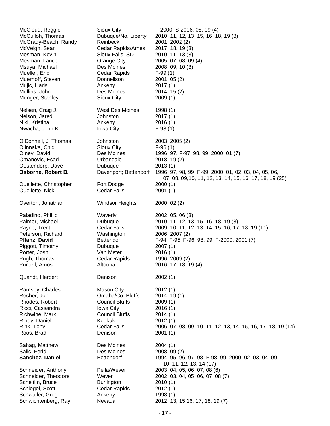| McCloud, Reggie<br>McCulloh, Thomas<br>McGrady-Beach, Randy<br>McVeigh, Sean<br>Mesman, Kevin<br>Mesman, Lance<br>Msuya, Michael<br>Mueller, Eric<br>Muerhoff, Steven<br>Mujic, Haris<br>Mullins, John<br>Munger, Stanley | Sioux City<br>Dubuque/No. Liberty<br>Reinbeck<br>Cedar Rapids/Ames<br>Sioux Falls, SD<br>Orange City<br>Des Moines<br>Cedar Rapids<br>Donnellson<br>Ankeny<br>Des Moines<br>Sioux City | F-2000, S-2006, 08, 09 (4)<br>2010, 11, 12, 13, 15, 16, 18, 19 (8)<br>2001, 2002 (2)<br>2017, 18, 19 (3)<br>2010, 11, 13 (3)<br>2005, 07, 08, 09 (4)<br>2008, 09, 10 (3)<br>$F-99(1)$<br>2001, 05(2)<br>2017(1)<br>2014, 15 (2)<br>2009(1) |
|---------------------------------------------------------------------------------------------------------------------------------------------------------------------------------------------------------------------------|----------------------------------------------------------------------------------------------------------------------------------------------------------------------------------------|--------------------------------------------------------------------------------------------------------------------------------------------------------------------------------------------------------------------------------------------|
| Nelsen, Craig J.<br>Nelson, Jared                                                                                                                                                                                         | West Des Moines<br>Johnston                                                                                                                                                            | 1998(1)<br>2017(1)                                                                                                                                                                                                                         |
| Nikl, Kristina                                                                                                                                                                                                            | Ankeny                                                                                                                                                                                 | 2016(1)                                                                                                                                                                                                                                    |
| Nwacha, John K.                                                                                                                                                                                                           | Iowa City                                                                                                                                                                              | $F-98(1)$                                                                                                                                                                                                                                  |
| O'Donnell, J. Thomas                                                                                                                                                                                                      | Johnston                                                                                                                                                                               | 2003, 2005 (2)                                                                                                                                                                                                                             |
| Ojinnaka, Chidi L.                                                                                                                                                                                                        | Sioux City                                                                                                                                                                             | $F-96(1)$                                                                                                                                                                                                                                  |
| Olney, David                                                                                                                                                                                                              | Des Moines                                                                                                                                                                             | 1996, 97, F-97, 98, 99, 2000, 01(7)                                                                                                                                                                                                        |
| Omanovic, Esad                                                                                                                                                                                                            | Urbandale                                                                                                                                                                              | 2018. 19 (2)                                                                                                                                                                                                                               |
| Oostendorp, Dave                                                                                                                                                                                                          | Dubuque                                                                                                                                                                                | 2013(1)                                                                                                                                                                                                                                    |
| Osborne, Robert B.                                                                                                                                                                                                        | Davenport; Bettendorf                                                                                                                                                                  | 1996, 97, 98, 99, F-99, 2000, 01, 02, 03, 04, 05, 06,<br>07, 08, 09, 10, 11, 12, 13, 14, 15, 16, 17, 18, 19 (25)                                                                                                                           |
| Ouellette, Christopher                                                                                                                                                                                                    | Fort Dodge                                                                                                                                                                             | 2000(1)                                                                                                                                                                                                                                    |
| Ouellette, Nick                                                                                                                                                                                                           | <b>Cedar Falls</b>                                                                                                                                                                     | 2001(1)                                                                                                                                                                                                                                    |
| Overton, Jonathan                                                                                                                                                                                                         | <b>Windsor Heights</b>                                                                                                                                                                 | 2000, 02(2)                                                                                                                                                                                                                                |
| Paladino, Phillip                                                                                                                                                                                                         | Waverly                                                                                                                                                                                | 2002, 05, 06 (3)                                                                                                                                                                                                                           |
| Palmer, Michael                                                                                                                                                                                                           | Dubuque                                                                                                                                                                                | 2010, 11, 12, 13, 15, 16, 18, 19 (8)                                                                                                                                                                                                       |
| Payne, Trent                                                                                                                                                                                                              | Cedar Falls                                                                                                                                                                            | 2009, 10, 11, 12, 13, 14, 15, 16, 17, 18, 19 (11)                                                                                                                                                                                          |
| Peterson, Richard                                                                                                                                                                                                         | Washington                                                                                                                                                                             | 2006, 2007 (2)                                                                                                                                                                                                                             |
| Pflanz, David                                                                                                                                                                                                             | <b>Bettendorf</b>                                                                                                                                                                      | F-94, F-95, F-96, 98, 99, F-2000, 2001 (7)                                                                                                                                                                                                 |
| Piggott, Timothy                                                                                                                                                                                                          | Dubuque                                                                                                                                                                                | 2007(1)                                                                                                                                                                                                                                    |
| Porter, Josh                                                                                                                                                                                                              | Van Meter                                                                                                                                                                              | 2016(1)                                                                                                                                                                                                                                    |
| Pugh, Thomas                                                                                                                                                                                                              | Cedar Rapids                                                                                                                                                                           | 1996, 2009 (2)                                                                                                                                                                                                                             |
| Purcell, Amos                                                                                                                                                                                                             | Altoona                                                                                                                                                                                | 2016, 17, 18, 19 (4)                                                                                                                                                                                                                       |
| Quandt, Herbert                                                                                                                                                                                                           | Denison                                                                                                                                                                                | 2002(1)                                                                                                                                                                                                                                    |
| Ramsey, Charles                                                                                                                                                                                                           | <b>Mason City</b>                                                                                                                                                                      | 2012(1)                                                                                                                                                                                                                                    |
| Recher, Jon                                                                                                                                                                                                               | Omaha/Co. Bluffs                                                                                                                                                                       | 2014, 19(1)                                                                                                                                                                                                                                |
| Rhodes, Robert                                                                                                                                                                                                            | <b>Council Bluffs</b>                                                                                                                                                                  | 2009(1)                                                                                                                                                                                                                                    |
| Ricci, Cassandra                                                                                                                                                                                                          | Iowa City                                                                                                                                                                              | 2016(1)                                                                                                                                                                                                                                    |
| Richwine, Mark                                                                                                                                                                                                            | <b>Council Bluffs</b>                                                                                                                                                                  | 2014(1)                                                                                                                                                                                                                                    |
| Riney, Daniel                                                                                                                                                                                                             | Keokuk                                                                                                                                                                                 | 2012(1)                                                                                                                                                                                                                                    |
| Rink, Tony                                                                                                                                                                                                                | <b>Cedar Falls</b>                                                                                                                                                                     | 2006, 07, 08, 09, 10, 11, 12, 13, 14, 15, 16, 17, 18, 19 (14)                                                                                                                                                                              |
| Roos, Brad                                                                                                                                                                                                                | Denison                                                                                                                                                                                | 2001(1)                                                                                                                                                                                                                                    |
| Sahag, Matthew                                                                                                                                                                                                            | Des Moines                                                                                                                                                                             | 2004(1)                                                                                                                                                                                                                                    |
| Salic, Ferid                                                                                                                                                                                                              | Des Moines                                                                                                                                                                             | 2008, 09 (2)                                                                                                                                                                                                                               |
| Sanchez, Daniel                                                                                                                                                                                                           | <b>Bettendorf</b>                                                                                                                                                                      | 1994, 95, 96, 97, 98, F-98, 99, 2000, 02, 03, 04, 09,<br>10, 11, 12, 13, 14 (17)                                                                                                                                                           |
| Schneider, Anthony                                                                                                                                                                                                        | Pella/Wever                                                                                                                                                                            | 2003, 04, 05, 06, 07, 08 (6)                                                                                                                                                                                                               |
| Schneider, Theodore                                                                                                                                                                                                       | Wever                                                                                                                                                                                  | 2002, 03, 04, 05, 06, 07, 08 (7)                                                                                                                                                                                                           |
| Scheitlin, Bruce                                                                                                                                                                                                          | <b>Burlington</b>                                                                                                                                                                      | 2010(1)                                                                                                                                                                                                                                    |
| Schlegel, Scott                                                                                                                                                                                                           | Cedar Rapids                                                                                                                                                                           | 2012(1)                                                                                                                                                                                                                                    |
| Schwaller, Greg                                                                                                                                                                                                           | Ankeny                                                                                                                                                                                 | 1998 (1)                                                                                                                                                                                                                                   |
| Schwichtenberg, Ray                                                                                                                                                                                                       | Nevada                                                                                                                                                                                 | 2012, 13, 15 16, 17, 18, 19 (7)                                                                                                                                                                                                            |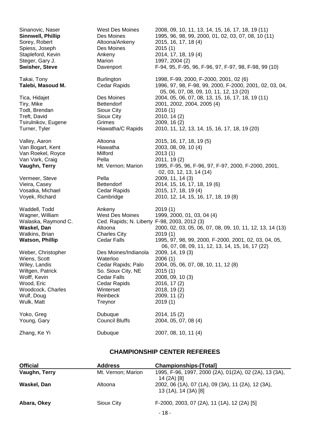| Sinanovic, Naser                                                                                                                                       | West Des Moines                                                                                                                                        | 2008, 09, 10, 11, 13, 14, 15, 16, 17, 18, 19 (11)                                                                                                                                                              |
|--------------------------------------------------------------------------------------------------------------------------------------------------------|--------------------------------------------------------------------------------------------------------------------------------------------------------|----------------------------------------------------------------------------------------------------------------------------------------------------------------------------------------------------------------|
| Sinnwell, Phillip                                                                                                                                      | Des Moines                                                                                                                                             | 1995, 96, 98, 99, 2000, 01, 02, 03, 07, 08, 10 (11)                                                                                                                                                            |
| Sorey, Robert                                                                                                                                          | Altoona/Ankeny                                                                                                                                         | 2015, 16, 17, 18 (4)                                                                                                                                                                                           |
| Spiess, Joseph                                                                                                                                         | Des Moines                                                                                                                                             | 2015(1)                                                                                                                                                                                                        |
| Stapleford, Kevin                                                                                                                                      | Ankeny                                                                                                                                                 | 2014, 17, 18, 19 (4)                                                                                                                                                                                           |
| Steger, Gary J.                                                                                                                                        | Marion                                                                                                                                                 | 1997, 2004 (2)                                                                                                                                                                                                 |
| Swisher, Steve                                                                                                                                         | Davenport                                                                                                                                              | F-94, 95, F-95, 96, F-96, 97, F-97, 98, F-98, 99 (10)                                                                                                                                                          |
| Takai, Tony<br>Talebi, Masoud M.                                                                                                                       | <b>Burlington</b><br>Cedar Rapids                                                                                                                      | 1998, F-99, 2000, F-2000, 2001, 02 (6)<br>1996, 97, 98, F-98, 99, 2000, F-2000, 2001, 02, 03, 04,<br>05, 06, 07, 08, 09, 10, 11, 12, 13 (20)                                                                   |
| Tica, Hidajet                                                                                                                                          | Des Moines                                                                                                                                             | 2004, 05, 06, 07, 08, 13, 15, 16, 17, 18, 19 (11)                                                                                                                                                              |
| Tiry, Mike                                                                                                                                             | <b>Bettendorf</b>                                                                                                                                      | 2001, 2002, 2004, 2005 (4)                                                                                                                                                                                     |
| Todt, Brendan                                                                                                                                          | Sioux City                                                                                                                                             | 2016(1)                                                                                                                                                                                                        |
| Treft, David                                                                                                                                           | Sioux City                                                                                                                                             | 2010, 14 (2)                                                                                                                                                                                                   |
| Tsirulnikov, Eugene                                                                                                                                    | Grimes                                                                                                                                                 | 2009, 16 (2)                                                                                                                                                                                                   |
| Turner, Tyler                                                                                                                                          | Hiawatha/C Rapids                                                                                                                                      | 2010, 11, 12, 13, 14, 15, 16, 17, 18, 19 (20)                                                                                                                                                                  |
| Valley, Aaron                                                                                                                                          | Altoona                                                                                                                                                | 2015, 16, 17, 18, 19 (5)                                                                                                                                                                                       |
| Van Bogart, Kent                                                                                                                                       | Hiawatha                                                                                                                                               | 2003, 08, 09, 10 (4)                                                                                                                                                                                           |
| Van Roekel, Royce<br>Van Vark, Craig<br>Vaughn, Terry                                                                                                  | Milford<br>Pella<br>Mt. Vernon; Marion                                                                                                                 | 2013(1)<br>2011, 19(2)<br>1995, F-95, 96, F-96, 97, F-97, 2000, F-2000, 2001,<br>02, 03, 12, 13, 14 (14)                                                                                                       |
| Vermeer, Steve                                                                                                                                         | Pella                                                                                                                                                  | 2009, 11, 14 (3)                                                                                                                                                                                               |
| Vieira, Casey                                                                                                                                          | <b>Bettendorf</b>                                                                                                                                      | 2014, 15, 16, 17, 18, 19 (6)                                                                                                                                                                                   |
| Vosatka, Michael                                                                                                                                       | Cedar Rapids                                                                                                                                           | 2015, 17, 18, 19 (4)                                                                                                                                                                                           |
| Voyek, Richard                                                                                                                                         | Cambridge                                                                                                                                              | 2010, 12, 14, 15, 16, 17, 18, 19(8)                                                                                                                                                                            |
| Waddell, Todd<br>Wagner, William<br>Walaska, Raymond C.<br>Waskel, Dan<br>Watkins, Brian<br><b>Watson, Phillip</b>                                     | Ankeny<br>West Des Moines<br>Ced. Rapids; N. Liberty F-98, 2003, 2012 (3)<br>Altoona<br><b>Charles City</b><br>Cedar Falls                             | 2019(1)<br>1999, 2000, 01, 03, 04 (4)<br>2000, 02, 03, 05, 06, 07, 08, 09, 10, 11, 12, 13, 14 (13)<br>2019(1)<br>1995, 97, 98, 99, 2000, F-2000, 2001, 02, 03, 04, 05,                                         |
| Weber, Christopher<br>Wiens, Scott<br>Wiley, Landis<br>Wiltgen, Patrick<br>Wolff, Kevin<br>Wood, Eric<br>Woodcock, Charles<br>Wulf, Doug<br>Wulk, Matt | Des Moines/Indianola<br>Waterloo<br>Cedar Rapids; Palo<br>So. Sioux City, NE<br><b>Cedar Falls</b><br>Cedar Rapids<br>Winterset<br>Reinbeck<br>Treynor | 06, 07, 08, 09, 11, 12, 13, 14, 15, 16, 17 (22)<br>2009, 14, 19 (3)<br>2006(1)<br>2004, 05, 06, 07, 08, 10, 11, 12(8)<br>2015(1)<br>2008, 09, 10 (3)<br>2016, 17 (2)<br>2018, 19(2)<br>2009, 11 (2)<br>2019(1) |
| Yoko, Greg                                                                                                                                             | Dubuque                                                                                                                                                | 2014, 15 (2)                                                                                                                                                                                                   |
| Young, Gary                                                                                                                                            | <b>Council Bluffs</b>                                                                                                                                  | 2004, 05, 07, 08 (4)                                                                                                                                                                                           |
| Zhang, Ke Yi                                                                                                                                           | Dubuque                                                                                                                                                | 2007, 08, 10, 11 (4)                                                                                                                                                                                           |

## **CHAMPIONSHIP CENTER REFEREES**

| <b>Official</b> | <b>Address</b>     | <b>Championships-[Total]</b>                                               |
|-----------------|--------------------|----------------------------------------------------------------------------|
| Vaughn, Terry   | Mt. Vernon; Marion | 1995, F-96, 1997, 2000 (2A), 01(2A), 02 (2A), 13 (3A),<br>14 (2A) [8]      |
| Waskel, Dan     | Altoona            | 2002, 06 (1A), 07 (1A), 09 (3A), 11 (2A), 12 (3A),<br>13 (1A), 14 (3A) [8] |
| Abara, Okey     | Sioux City         | F-2000, 2003, 07 (2A), 11 (1A), 12 (2A) [5]<br>$-18-$                      |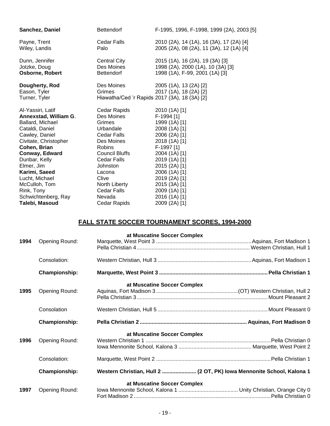| Sanchez, Daniel                                 | <b>Bettendorf</b>     | F-1995, 1996, F-1998, 1999 (2A), 2003 [5]                                                         |
|-------------------------------------------------|-----------------------|---------------------------------------------------------------------------------------------------|
| Payne, Trent                                    | <b>Cedar Falls</b>    | 2010 (2A), 14 (1A), 16 (3A), 17 (2A) [4]                                                          |
| Wiley, Landis                                   | Palo                  | 2005 (2A), 08 (2A), 11 (3A), 12 (1A) [4]                                                          |
| Dunn, Jennifer                                  | Central City          | 2015 (1A), 16 (2A), 19 (3A) [3]                                                                   |
| Jotzke, Doug                                    | Des Moines            | 1998 (2A), 2000 (1A), 10 (3A) [3]                                                                 |
| <b>Osborne, Robert</b>                          | Bettendorf            | 1998 (1A), F-99, 2001 (1A) [3]                                                                    |
| Dougherty, Rod<br>Eason, Tyler<br>Turner, Tyler | Des Moines<br>Grimes  | 2005 (1A), 13 (2A) [2]<br>2017 (1A), 18 (2A) [2]<br>Hiawatha/Ced 'r Rapids 2017 (3A), 18 (3A) [2] |
| Al-Yassiri, Latif                               | Cedar Rapids          | 2010 (1A) [1]                                                                                     |
| Annexstad, William G.                           | Des Moines            | F-1994 [1]                                                                                        |
| Ballard, Michael                                | Grimes                | 1999 (1A) [1]                                                                                     |
| Cataldi, Daniel                                 | Urbandale             | 2008 (1A) [1]                                                                                     |
| Cawley, Daniel                                  | Cedar Falls           | 2006 (2A) [1]                                                                                     |
| Civitate, Christopher                           | Des Moines            | 2018 (1A) [1]                                                                                     |
| Cohen, Brian                                    | <b>Robins</b>         | F-1997 [1]                                                                                        |
| Conway, Edward                                  | <b>Council Bluffs</b> | 2004 (1A) [1]                                                                                     |
| Dunbar, Kelly                                   | <b>Cedar Falls</b>    | 2019 (1A) [1]                                                                                     |
| Elmer, Jim                                      | <b>Johnston</b>       | 2015 (2A) [1]                                                                                     |
| Karimi, Saeed                                   | Lacona                | 2006 (1A) [1]                                                                                     |
| Lucht, Michael                                  | Clive                 | 2019 (2A) [1]                                                                                     |
| McCulloh, Tom                                   | North Liberty         | 2015 (3A) [1]                                                                                     |
| Rink, Tony                                      | Cedar Falls           | 2009 (1A) [1]                                                                                     |
| Schwichtenberg, Ray                             | Nevada                | 2016 (1A) [1]                                                                                     |
| Talebi, Masoud                                  | Cedar Rapids          | 2009 (2A) [1]                                                                                     |

## **FALL STATE SOCCER TOURNAMENT SCORES, 1994-2000**

| 1994 | Opening Round:       | at Muscatine Soccer Complex                                           |  |
|------|----------------------|-----------------------------------------------------------------------|--|
|      | Consolation:         |                                                                       |  |
|      | <b>Championship:</b> |                                                                       |  |
| 1995 | Opening Round:       | at Muscatine Soccer Complex                                           |  |
|      | Consolation          |                                                                       |  |
|      |                      |                                                                       |  |
|      | Championship:        |                                                                       |  |
| 1996 | Opening Round:       | at Muscatine Soccer Complex                                           |  |
|      | Consolation:         |                                                                       |  |
|      | <b>Championship:</b> | Western Christian, Hull 2  (2 OT, PK) lowa Mennonite School, Kalona 1 |  |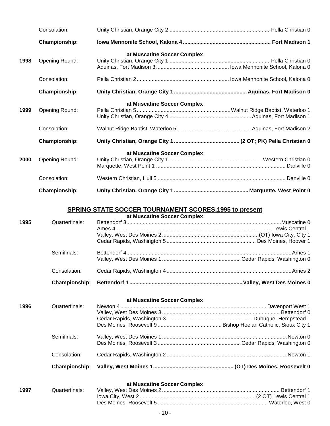|      | Consolation:   |                             |  |
|------|----------------|-----------------------------|--|
|      | Championship:  |                             |  |
| 1998 | Opening Round: | at Muscatine Soccer Complex |  |
|      | Consolation:   |                             |  |
|      | Championship:  |                             |  |
| 1999 | Opening Round: | at Muscatine Soccer Complex |  |
|      | Consolation:   |                             |  |
|      | Championship:  |                             |  |
| 2000 | Opening Round: | at Muscatine Soccer Complex |  |
|      | Consolation:   |                             |  |
|      | Championship:  |                             |  |

## **SPRING STATE SOCCER TOURNAMENT SCORES,1995 to present**

| at Muscatine Soccer Complex |                |      |
|-----------------------------|----------------|------|
|                             | Quarterfinals: | 1995 |
|                             |                |      |
|                             |                |      |
|                             |                |      |
|                             | Semifinals:    |      |
|                             |                |      |
|                             | Consolation:   |      |
|                             |                |      |

#### **at Muscatine Soccer Complex**

|      | Consolation:   |  |
|------|----------------|--|
|      | Semifinals:    |  |
|      |                |  |
| 1996 | Quarterfinals: |  |

## **at Muscatine Soccer Complex**

| 1997 |  |  |
|------|--|--|
|      |  |  |
|      |  |  |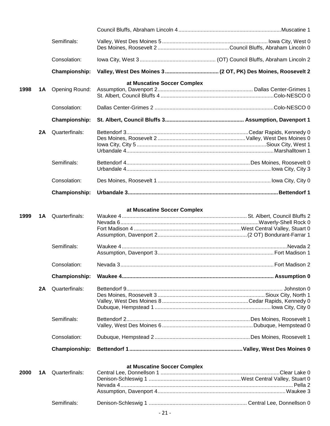|      |     | Semifinals:          |                                                              |  |
|------|-----|----------------------|--------------------------------------------------------------|--|
|      |     |                      |                                                              |  |
|      |     | Consolation:         |                                                              |  |
|      |     | <b>Championship:</b> | Valley, West Des Moines 3 (2 OT, PK) Des Moines, Roosevelt 2 |  |
|      |     |                      | at Muscatine Soccer Complex                                  |  |
| 1998 | 1A  | Opening Round:       |                                                              |  |
|      |     |                      |                                                              |  |
|      |     | Consolation:         |                                                              |  |
|      |     | <b>Championship:</b> |                                                              |  |
|      | 2A  | Quarterfinals:       |                                                              |  |
|      |     |                      |                                                              |  |
|      |     |                      |                                                              |  |
|      |     |                      |                                                              |  |
|      |     | Semifinals:          |                                                              |  |
|      |     |                      |                                                              |  |
|      |     | Consolation:         |                                                              |  |
|      |     | <b>Championship:</b> |                                                              |  |
|      |     |                      |                                                              |  |
| 1999 | 1A  | Quarterfinals:       | at Muscatine Soccer Complex                                  |  |
|      |     |                      |                                                              |  |
|      |     |                      |                                                              |  |
|      |     |                      |                                                              |  |
|      |     | Semifinals:          |                                                              |  |
|      |     |                      |                                                              |  |
|      |     | Consolation:         |                                                              |  |
|      |     |                      |                                                              |  |
|      |     | <b>Championship:</b> |                                                              |  |
|      | 2A  | Quarterfinals:       |                                                              |  |
|      |     |                      |                                                              |  |
|      |     |                      |                                                              |  |
|      |     |                      |                                                              |  |
|      |     | Semifinals:          |                                                              |  |
|      |     |                      |                                                              |  |
|      |     | Consolation:         |                                                              |  |
|      |     | <b>Championship:</b> |                                                              |  |
|      |     |                      |                                                              |  |
| 2000 | 1 A | Quarterfinals:       | at Muscatine Soccer Complex                                  |  |
|      |     |                      |                                                              |  |
|      |     |                      |                                                              |  |
|      |     |                      |                                                              |  |
|      |     | Semifinals:          |                                                              |  |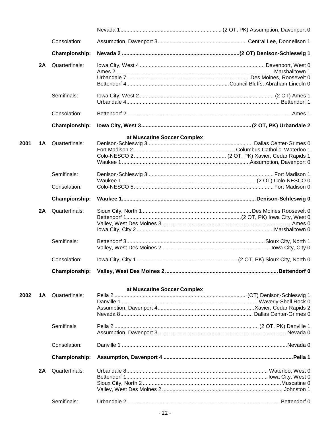|      |     | Consolation:         |                             |  |
|------|-----|----------------------|-----------------------------|--|
|      |     | <b>Championship:</b> |                             |  |
|      | 2A  | Quarterfinals:       |                             |  |
|      |     |                      |                             |  |
|      |     |                      |                             |  |
|      |     |                      |                             |  |
|      |     | Semifinals:          |                             |  |
|      |     |                      |                             |  |
|      |     | Consolation:         |                             |  |
|      |     | Championship:        |                             |  |
|      |     |                      | at Muscatine Soccer Complex |  |
| 2001 | 1 A | Quarterfinals:       |                             |  |
|      |     |                      |                             |  |
|      |     |                      |                             |  |
|      |     |                      |                             |  |
|      |     | Semifinals:          |                             |  |
|      |     |                      |                             |  |
|      |     | Consolation:         |                             |  |
|      |     | <b>Championship:</b> |                             |  |
|      | 2A  | Quarterfinals:       |                             |  |
|      |     |                      |                             |  |
|      |     |                      |                             |  |
|      |     |                      |                             |  |
|      |     | Semifinals:          |                             |  |
|      |     |                      |                             |  |
|      |     | Consolation:         |                             |  |
|      |     |                      |                             |  |
|      |     |                      |                             |  |
|      |     |                      | at Muscatine Soccer Complex |  |
| 2002 | 1 A | Quarterfinals:       |                             |  |
|      |     |                      |                             |  |
|      |     |                      |                             |  |
|      |     |                      |                             |  |
|      |     | Semifinals           |                             |  |
|      |     |                      |                             |  |
|      |     | Consolation:         |                             |  |
|      |     | <b>Championship:</b> |                             |  |
|      | 2A  | Quarterfinals:       |                             |  |
|      |     |                      |                             |  |
|      |     |                      |                             |  |
|      |     |                      |                             |  |
|      |     |                      |                             |  |
|      |     | Semifinals:          |                             |  |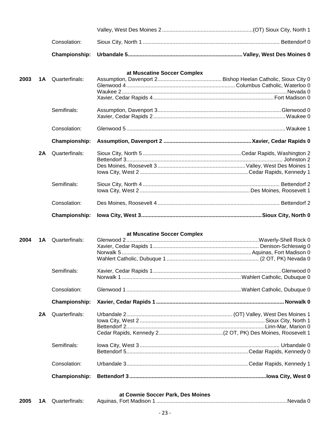|      |    | Consolation:         |                                   |  |
|------|----|----------------------|-----------------------------------|--|
|      |    | Championship:        |                                   |  |
|      |    |                      | at Muscatine Soccer Complex       |  |
| 2003 | 1A | Quarterfinals:       |                                   |  |
|      |    |                      |                                   |  |
|      |    |                      |                                   |  |
|      |    |                      |                                   |  |
|      |    | Semifinals:          |                                   |  |
|      |    | Consolation:         |                                   |  |
|      |    |                      |                                   |  |
|      |    | Championship:        |                                   |  |
|      | 2A | Quarterfinals:       |                                   |  |
|      |    |                      |                                   |  |
|      |    |                      |                                   |  |
|      |    |                      |                                   |  |
|      |    | Semifinals:          |                                   |  |
|      |    | Consolation:         |                                   |  |
|      |    | Championship:        |                                   |  |
|      |    |                      |                                   |  |
|      |    |                      | at Muscatine Soccer Complex       |  |
| 2004 | 1A | Quarterfinals:       |                                   |  |
|      |    |                      |                                   |  |
|      |    |                      |                                   |  |
|      |    |                      |                                   |  |
|      |    | Semifinals:          |                                   |  |
|      |    |                      |                                   |  |
|      |    | Consolation:         |                                   |  |
|      |    | Championship:        |                                   |  |
|      | 2A | Quarterfinals:       |                                   |  |
|      |    |                      |                                   |  |
|      |    |                      |                                   |  |
|      |    |                      |                                   |  |
|      |    | Semifinals:          |                                   |  |
|      |    |                      |                                   |  |
|      |    | Consolation:         |                                   |  |
|      |    | <b>Championship:</b> |                                   |  |
|      |    |                      |                                   |  |
|      |    |                      | at Cownie Soccer Park, Des Moines |  |

| 2005 |  | <b>1A</b> Quarterfinals: | Aquinas. Fort Madison 1 |  |
|------|--|--------------------------|-------------------------|--|
|------|--|--------------------------|-------------------------|--|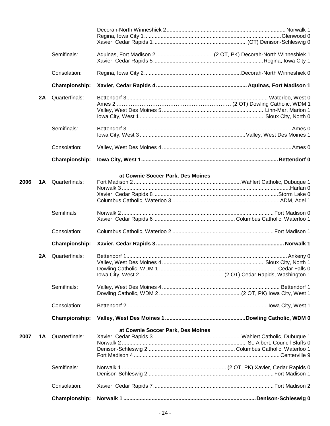|      |    | Semifinals:          |                                   |  |
|------|----|----------------------|-----------------------------------|--|
|      |    |                      |                                   |  |
|      |    | Consolation:         |                                   |  |
|      |    | Championship:        |                                   |  |
|      | 2A | Quarterfinals:       |                                   |  |
|      |    |                      |                                   |  |
|      |    |                      |                                   |  |
|      |    |                      |                                   |  |
|      |    | Semifinals:          |                                   |  |
|      |    |                      |                                   |  |
|      |    | Consolation:         |                                   |  |
|      |    | <b>Championship:</b> |                                   |  |
|      |    |                      | at Cownie Soccer Park, Des Moines |  |
| 2006 | 1A | Quarterfinals:       |                                   |  |
|      |    |                      |                                   |  |
|      |    |                      |                                   |  |
|      |    |                      |                                   |  |
|      |    | Semifinals           |                                   |  |
|      |    |                      |                                   |  |
|      |    | Consolation:         |                                   |  |
|      |    | <b>Championship:</b> |                                   |  |
|      | 2Α | Quarterfinals:       |                                   |  |
|      |    |                      |                                   |  |
|      |    |                      |                                   |  |
|      |    |                      |                                   |  |
|      |    | Semifinals:          |                                   |  |
|      |    |                      |                                   |  |
|      |    | Consolation:         |                                   |  |
|      |    | <b>Championship:</b> |                                   |  |
|      |    |                      | at Cownie Soccer Park, Des Moines |  |
| 2007 | 1A | Quarterfinals:       |                                   |  |
|      |    |                      |                                   |  |
|      |    |                      |                                   |  |
|      |    |                      |                                   |  |
|      |    | Semifinals:          |                                   |  |
|      |    |                      |                                   |  |
|      |    | Consolation:         |                                   |  |
|      |    | Championship:        |                                   |  |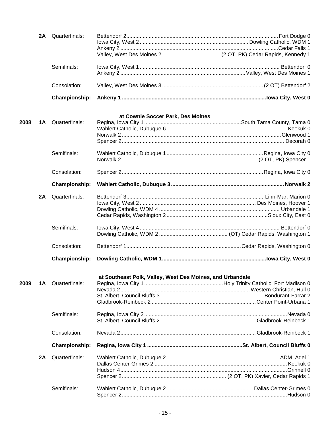|      | 2A | Quarterfinals:       |                                                           |  |
|------|----|----------------------|-----------------------------------------------------------|--|
|      |    | Semifinals:          |                                                           |  |
|      |    | Consolation:         |                                                           |  |
|      |    | <b>Championship:</b> |                                                           |  |
|      |    |                      | at Cownie Soccer Park, Des Moines                         |  |
| 2008 | 1A | Quarterfinals:       |                                                           |  |
|      |    |                      |                                                           |  |
|      |    |                      |                                                           |  |
|      |    |                      |                                                           |  |
|      |    | Semifinals:          |                                                           |  |
|      |    |                      |                                                           |  |
|      |    | Consolation:         |                                                           |  |
|      |    | Championship:        |                                                           |  |
|      | 2A | Quarterfinals:       |                                                           |  |
|      |    |                      |                                                           |  |
|      |    |                      |                                                           |  |
|      |    |                      |                                                           |  |
|      |    | Semifinals:          |                                                           |  |
|      |    |                      |                                                           |  |
|      |    | Consolation:         |                                                           |  |
|      |    | <b>Championship:</b> |                                                           |  |
|      |    |                      | at Southeast Polk, Valley, West Des Moines, and Urbandale |  |
| 2009 | 1A | Quarterfinals:       |                                                           |  |
|      |    |                      |                                                           |  |
|      |    |                      |                                                           |  |
|      |    |                      |                                                           |  |
|      |    | Semifinals:          |                                                           |  |
|      |    |                      |                                                           |  |
|      |    | Consolation:         |                                                           |  |
|      |    | <b>Championship:</b> |                                                           |  |
|      | 2A | Quarterfinals:       |                                                           |  |
|      |    |                      |                                                           |  |
|      |    |                      |                                                           |  |
|      |    |                      |                                                           |  |
|      |    | Semifinals:          |                                                           |  |
|      |    |                      |                                                           |  |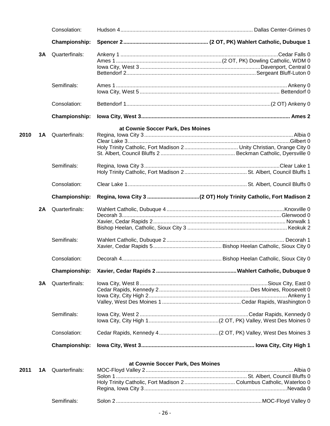|      |     | Consolation:             |                                   |           |
|------|-----|--------------------------|-----------------------------------|-----------|
|      |     | <b>Championship:</b>     |                                   |           |
|      | 3A  | Quarterfinals:           |                                   |           |
|      |     |                          |                                   |           |
|      |     | Semifinals:              |                                   |           |
|      |     | Consolation:             |                                   |           |
|      |     | <b>Championship:</b>     |                                   |           |
| 2010 | 1 A | Quarterfinals:           | at Cownie Soccer Park, Des Moines |           |
|      |     |                          |                                   |           |
|      |     | Semifinals:              |                                   |           |
|      |     | Consolation:             |                                   |           |
|      |     | <b>Championship:</b>     |                                   |           |
|      | 2A  | Quarterfinals:           |                                   |           |
|      |     | Semifinals:              |                                   |           |
|      |     | Consolation:             |                                   |           |
|      |     | <b>Championship:</b>     |                                   |           |
|      | 3A  | Quarterfinals:           |                                   |           |
|      |     | Semifinals:              |                                   |           |
|      |     | Consolation:             |                                   |           |
|      |     | <b>Championship:</b>     |                                   |           |
|      |     |                          | at Cownie Soccer Park, Des Moines |           |
| 2011 |     | <b>1A</b> Quarterfinals: |                                   | . Albia 0 |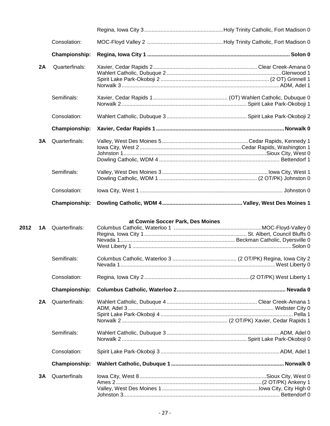|    | Consolation:         |  |
|----|----------------------|--|
|    | <b>Championship:</b> |  |
| 2A | Quarterfinals:       |  |
|    | Semifinals:          |  |
|    | Consolation:         |  |
|    | Championship:        |  |
| 3A | Quarterfinals:       |  |
|    | Semifinals:          |  |
|    | Consolation:         |  |
|    | Championship:        |  |

## **at Cownie Soccer Park, Des Moines**

| 2012 |    | <b>1A</b> Quarterfinals: |  |
|------|----|--------------------------|--|
|      |    |                          |  |
|      |    | Semifinals:              |  |
|      |    | Consolation:             |  |
|      |    | <b>Championship:</b>     |  |
|      | 2A | Quarterfinals:           |  |
|      |    | Semifinals:              |  |
|      |    | Consolation:             |  |
|      |    | <b>Championship:</b>     |  |
|      | 3A | Quarterfinals            |  |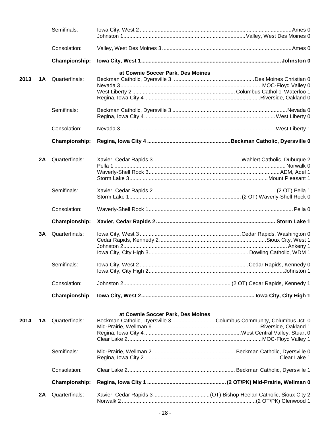|      |    | Semifinals:          |                                                                    |  |
|------|----|----------------------|--------------------------------------------------------------------|--|
|      |    | Consolation:         |                                                                    |  |
|      |    | <b>Championship:</b> |                                                                    |  |
|      |    |                      | at Cownie Soccer Park, Des Moines                                  |  |
| 2013 | 1A | Quarterfinals:       |                                                                    |  |
|      |    |                      |                                                                    |  |
|      |    |                      |                                                                    |  |
|      |    |                      |                                                                    |  |
|      |    | Semifinals:          |                                                                    |  |
|      |    |                      |                                                                    |  |
|      |    | Consolation:         |                                                                    |  |
|      |    | <b>Championship:</b> |                                                                    |  |
|      |    |                      |                                                                    |  |
|      | 2A | Quarterfinals:       |                                                                    |  |
|      |    |                      |                                                                    |  |
|      |    |                      |                                                                    |  |
|      |    |                      |                                                                    |  |
|      |    | Semifinals:          |                                                                    |  |
|      |    |                      |                                                                    |  |
|      |    | Consolation:         |                                                                    |  |
|      |    |                      |                                                                    |  |
|      |    | <b>Championship:</b> |                                                                    |  |
|      |    |                      |                                                                    |  |
|      | 3Α | Quarterfinals:       |                                                                    |  |
|      |    |                      |                                                                    |  |
|      |    |                      |                                                                    |  |
|      |    |                      |                                                                    |  |
|      |    | Semifinals:          |                                                                    |  |
|      |    | Consolation:         |                                                                    |  |
|      |    | Championship         |                                                                    |  |
|      |    |                      |                                                                    |  |
|      |    |                      | at Cownie Soccer Park, Des Moines                                  |  |
| 2014 | 1A | Quarterfinals:       | Beckman Catholic, Dyersville 3 Columbus Community, Columbus Jct. 0 |  |
|      |    |                      |                                                                    |  |
|      |    |                      |                                                                    |  |
|      |    | Semifinals:          |                                                                    |  |
|      |    |                      |                                                                    |  |
|      |    | Consolation:         |                                                                    |  |
|      |    | <b>Championship:</b> |                                                                    |  |
|      | 2A | Quarterfinals:       |                                                                    |  |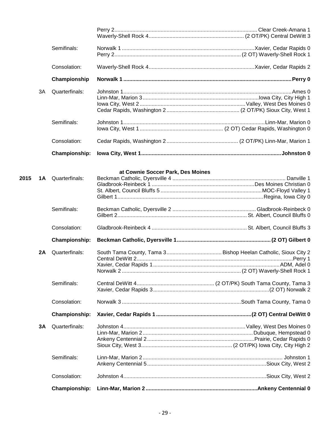|      |           | Semifinals:              |                                   |  |
|------|-----------|--------------------------|-----------------------------------|--|
|      |           |                          |                                   |  |
|      |           | Consolation:             |                                   |  |
|      |           | Championship             |                                   |  |
|      | 3A        | Quarterfinals:           |                                   |  |
|      |           |                          |                                   |  |
|      |           |                          |                                   |  |
|      |           |                          |                                   |  |
|      |           | Semifinals:              |                                   |  |
|      |           |                          |                                   |  |
|      |           | Consolation:             |                                   |  |
|      |           | <b>Championship:</b>     |                                   |  |
|      |           |                          |                                   |  |
|      |           |                          | at Cownie Soccer Park, Des Moines |  |
| 2015 |           | <b>1A</b> Quarterfinals: |                                   |  |
|      |           |                          |                                   |  |
|      |           |                          |                                   |  |
|      |           |                          |                                   |  |
|      |           | Semifinals:              |                                   |  |
|      |           |                          |                                   |  |
|      |           | Consolation:             |                                   |  |
|      |           | <b>Championship:</b>     |                                   |  |
|      | <b>2A</b> | Quarterfinals:           |                                   |  |
|      |           |                          |                                   |  |
|      |           |                          |                                   |  |
|      |           |                          |                                   |  |
|      |           | Semifinals:              |                                   |  |
|      |           |                          |                                   |  |
|      |           | Consolation:             |                                   |  |
|      |           | <b>Championship:</b>     |                                   |  |
|      | 3A        | Quarterfinals:           |                                   |  |
|      |           |                          |                                   |  |
|      |           |                          |                                   |  |
|      |           |                          |                                   |  |
|      |           | Semifinals:              |                                   |  |
|      |           |                          |                                   |  |
|      |           | Consolation:             |                                   |  |
|      |           |                          |                                   |  |
|      |           | Championship:            |                                   |  |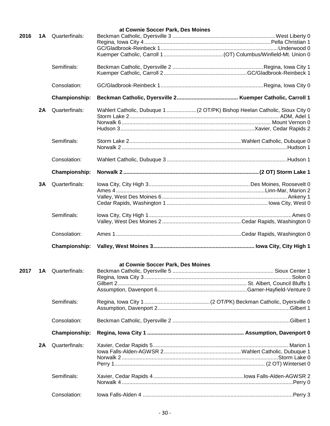|      |    |                          | at Cownie Soccer Park, Des Moines |  |
|------|----|--------------------------|-----------------------------------|--|
| 2016 | 1A | Quarterfinals:           |                                   |  |
|      |    |                          |                                   |  |
|      |    |                          |                                   |  |
|      |    |                          |                                   |  |
|      |    | Semifinals:              |                                   |  |
|      |    |                          |                                   |  |
|      |    | Consolation:             |                                   |  |
|      |    | <b>Championship:</b>     |                                   |  |
|      | 2A | Quarterfinals:           |                                   |  |
|      |    |                          |                                   |  |
|      |    |                          |                                   |  |
|      |    |                          |                                   |  |
|      |    | Semifinals:              |                                   |  |
|      |    |                          |                                   |  |
|      |    | Consolation:             |                                   |  |
|      |    | <b>Championship:</b>     |                                   |  |
|      | 3A | Quarterfinals:           |                                   |  |
|      |    |                          |                                   |  |
|      |    |                          |                                   |  |
|      |    |                          |                                   |  |
|      |    |                          |                                   |  |
|      |    | Semifinals:              |                                   |  |
|      |    |                          |                                   |  |
|      |    | Consolation:             |                                   |  |
|      |    | <b>Championship:</b>     |                                   |  |
|      |    |                          |                                   |  |
| 2017 |    | <b>1A</b> Quarterfinals: | at Cownie Soccer Park, Des Moines |  |
|      |    |                          |                                   |  |
|      |    |                          |                                   |  |
|      |    |                          |                                   |  |
|      |    |                          |                                   |  |
|      |    | Semifinals:              |                                   |  |
|      |    | Consolation:             |                                   |  |
|      |    |                          |                                   |  |
|      |    | <b>Championship:</b>     |                                   |  |
|      | 2A | Quarterfinals:           |                                   |  |
|      |    |                          |                                   |  |
|      |    |                          |                                   |  |
|      |    |                          |                                   |  |
|      |    | Semifinals:              |                                   |  |
|      |    |                          |                                   |  |
|      |    | Consolation:             |                                   |  |
|      |    |                          |                                   |  |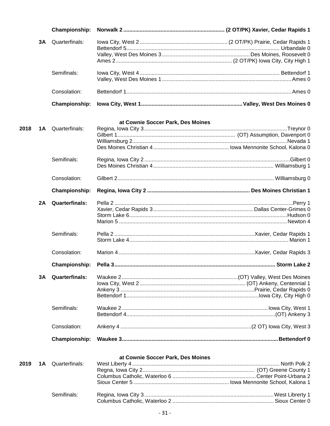|      |    | Championship:         |                                   |  |
|------|----|-----------------------|-----------------------------------|--|
|      | 3A | Quarterfinals:        |                                   |  |
|      |    |                       |                                   |  |
|      |    |                       |                                   |  |
|      |    |                       |                                   |  |
|      |    | Semifinals:           |                                   |  |
|      |    |                       |                                   |  |
|      |    | Consolation:          |                                   |  |
|      |    | Championship:         |                                   |  |
|      |    |                       |                                   |  |
|      |    |                       | at Cownie Soccer Park, Des Moines |  |
| 2018 | 1A | Quarterfinals:        |                                   |  |
|      |    |                       |                                   |  |
|      |    |                       |                                   |  |
|      |    |                       |                                   |  |
|      |    | Semifinals:           |                                   |  |
|      |    |                       |                                   |  |
|      |    | Consolation:          |                                   |  |
|      |    | <b>Championship:</b>  |                                   |  |
|      | 2A | <b>Quarterfinals:</b> |                                   |  |
|      |    |                       |                                   |  |
|      |    |                       |                                   |  |
|      |    |                       |                                   |  |
|      |    | Semifinals:           |                                   |  |
|      |    |                       |                                   |  |
|      |    | Consolation:          |                                   |  |
|      |    | Championship:         |                                   |  |
|      | 3A | <b>Quarterfinals:</b> |                                   |  |
|      |    |                       |                                   |  |
|      |    |                       |                                   |  |
|      |    |                       |                                   |  |
|      |    | Semifinals:           |                                   |  |
|      |    |                       |                                   |  |
|      |    | Consolation:          |                                   |  |
|      |    | <b>Championship:</b>  |                                   |  |
|      |    |                       |                                   |  |
| 2019 | 1A | Quarterfinals:        | at Cownie Soccer Park, Des Moines |  |
|      |    |                       |                                   |  |
|      |    |                       |                                   |  |
|      |    |                       |                                   |  |
|      |    |                       |                                   |  |
|      |    | Semifinals:           |                                   |  |
|      |    |                       |                                   |  |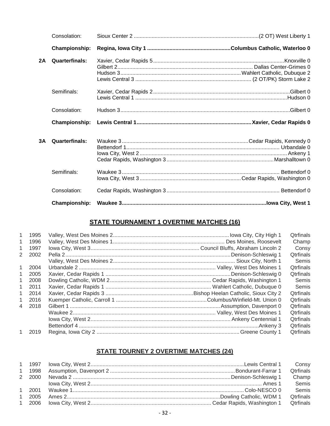|    | Consolation:          |  |
|----|-----------------------|--|
|    | Championship:         |  |
| 2A | <b>Quarterfinals:</b> |  |
|    | Semifinals:           |  |
|    | Consolation:          |  |
|    |                       |  |
|    | Championship:         |  |
| 3A | <b>Quarterfinals:</b> |  |
|    | Semifinals:           |  |
|    | Consolation:          |  |

## **STATE TOURNAMENT 1 OVERTIME MATCHES (16)**

| $\mathbf{1}$   | 1995 |  | Qtrfinals        |
|----------------|------|--|------------------|
| $\mathbf{1}$   | 1996 |  | Champ            |
| $\mathbf{1}$   | 1997 |  | Consy            |
| 2              | 2002 |  | Qtrfinals        |
|                |      |  | Semis            |
| 1              | 2004 |  | Qtrfinals        |
| $\mathbf{1}$   | 2005 |  | <b>Qtrfinals</b> |
| 1              | 2008 |  | Semis            |
| 1              | 2011 |  | Semis            |
| $\mathbf{1}$   | 2014 |  | Qtrfinals        |
| 1              | 2016 |  | Qtrfinals        |
| $\overline{4}$ | 2018 |  | Otrfinals        |
|                |      |  | <b>Qtrfinals</b> |
|                |      |  | <b>Qtrfinals</b> |
|                |      |  | Otrfinals        |
| 1              | 2019 |  | Qtrfinals        |
|                |      |  |                  |

## **STATE TOURNEY 2 OVERTIME MATCHES (24)**

|  | Consy            |
|--|------------------|
|  | <b>Qtrfinals</b> |
|  | Champ            |
|  | Semis            |
|  | Semis            |
|  | <b>Qtrfinals</b> |
|  |                  |
|  |                  |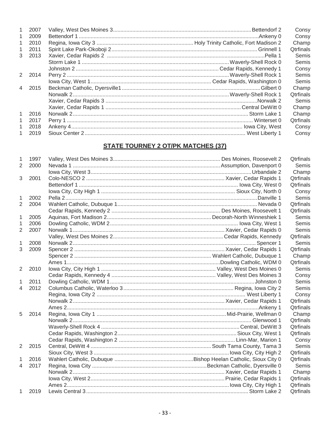| $\mathbf{1}$   | 2007   |  | Consy            |
|----------------|--------|--|------------------|
| 1              | 2009   |  | Consy            |
| $\mathbf{1}$   | 2010   |  | Champ            |
| $\mathbf{1}$   | 2011   |  | <b>Qtrfinals</b> |
| 3              | 2013   |  | Semis            |
|                |        |  | Semis            |
|                |        |  | Consy            |
|                | 2 2014 |  | Semis            |
|                |        |  | Semis            |
| $\overline{4}$ | 2015   |  | Champ            |
|                |        |  | <b>Qtrfinals</b> |
|                |        |  | Semis            |
|                |        |  | Champ            |
| $\mathbf{1}$   | 2016   |  | Champ            |
| 1              | 2017   |  | <b>Qtrfinals</b> |
| 1              | 2018   |  | Consy            |
| 1.             | 2019   |  | Consy            |
|                |        |  |                  |

## **STATE TOURNEY 2 OT/PK MATCHES (37)**

| 1                        | 1997 |  | <b>Qtrfinals</b> |
|--------------------------|------|--|------------------|
| $\overline{2}$           | 2000 |  | Semis            |
|                          |      |  | Champ            |
| 3                        | 2001 |  | Qtrfinals        |
|                          |      |  | <b>Qtrfinals</b> |
|                          |      |  | Consy            |
| 1                        | 2002 |  | Semis            |
| $\overline{2}$           | 2004 |  | Qtrfinals        |
|                          |      |  | <b>Qtrfinals</b> |
| 1                        | 2005 |  | Semis            |
| 1                        | 2006 |  | Semis            |
| $\overline{2}$           | 2007 |  | Semis            |
|                          |      |  | Qtrfinals        |
| 1                        | 2008 |  | Semis            |
| 3                        | 2009 |  | Qtrfinals        |
|                          |      |  | Champ            |
|                          |      |  | Qtrfinals        |
| $\overline{2}$           | 2010 |  | Semis            |
|                          |      |  | Consy            |
| 1                        | 2011 |  | Semis            |
| $\overline{\mathcal{A}}$ | 2012 |  | Semis            |
|                          |      |  | Consy            |
|                          |      |  | Qtrfinals        |
|                          |      |  | Qtrfinals        |
| 5                        | 2014 |  | Champ            |
|                          |      |  | Qtrfinals        |
|                          |      |  | <b>Qtrfinals</b> |
|                          |      |  | Qtrfinals        |
|                          |      |  | Consy            |
| $\overline{2}$           | 2015 |  | Semis            |
|                          |      |  | Qtrfinals        |
| 1                        | 2016 |  | Qtrfinals        |
| $\overline{4}$           | 2017 |  | Semis            |
|                          |      |  | Champ            |
|                          |      |  | Qtrfinals        |
|                          |      |  | Qtrfinals        |
| $\mathbf{1}$             | 2019 |  | Qtrfinals        |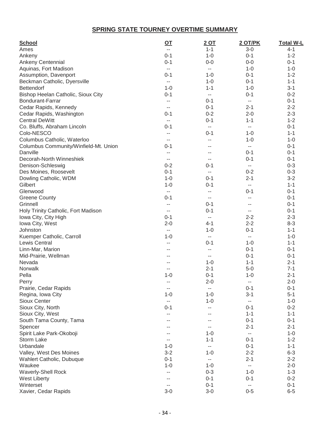## **SPRING STATE TOURNEY OVERTIME SUMMARY**

| <b>School</b><br>Ames                     | <u>OT</u><br>--          | <u>2 OT</u><br>$1 - 1$   | <b>2 OT/PK</b><br>$3 - 0$ | <b>Total W-L</b><br>4-1 |
|-------------------------------------------|--------------------------|--------------------------|---------------------------|-------------------------|
| Ankeny                                    | $0 - 1$                  | $1 - 0$                  | $0 - 1$                   | $1 - 2$                 |
| Ankeny Centennial                         | $0 - 1$                  | $0 - 0$                  | $0-0$                     | $0 - 1$                 |
| Aquinas, Fort Madison                     | $\overline{\phantom{a}}$ | $\overline{\phantom{a}}$ | $1 - 0$                   | $1 - 0$                 |
| Assumption, Davenport                     | $0 - 1$                  | $1 - 0$                  | $0 - 1$                   | $1 - 2$                 |
| Beckman Catholic, Dyersville              | $\overline{\phantom{a}}$ | $1 - 0$                  | $0 - 1$                   | $1 - 1$                 |
| Bettendorf                                | $1 - 0$                  | $1 - 1$                  | $1 - 0$                   | $3 - 1$                 |
| Bishop Heelan Catholic, Sioux City        | $0 - 1$                  | $\overline{a}$           | $0 - 1$                   | $0 - 2$                 |
| Bondurant-Farrar                          | --                       | $0 - 1$                  | н.                        | $0 - 1$                 |
| Cedar Rapids, Kennedy                     | --                       | $0 - 1$                  | $2 - 1$                   | $2 - 2$                 |
| Cedar Rapids, Washington                  | $0 - 1$                  | $0 - 2$                  | $2 - 0$                   | $2 - 3$                 |
| <b>Central DeWitt</b>                     |                          | $0 - 1$                  | $1 - 1$                   | $1 - 2$                 |
|                                           | $0 - 1$                  |                          | н.                        | $0 - 1$                 |
| Co. Bluffs, Abraham Lincoln<br>Colo-NESCO |                          | --<br>$0 - 1$            | $1 - 0$                   | $1 - 1$                 |
|                                           | --                       |                          |                           |                         |
| Columbus Catholic, Waterloo               | $\overline{a}$           | --                       | $1 - 0$                   | $1 - 0$                 |
| Columbus Community/Winfield-Mt. Union     | $0 - 1$                  | --                       | н.                        | $0 - 1$                 |
| Danville                                  | $-$                      | --                       | $0 - 1$                   | $0 - 1$                 |
| Decorah-North Winneshiek                  | $\overline{\phantom{m}}$ | $- -$                    | $0 - 1$                   | $0 - 1$                 |
| Denison-Schleswig                         | $0 - 2$                  | $0 - 1$                  | н.                        | $0 - 3$                 |
| Des Moines, Roosevelt                     | $0 - 1$                  | $-$                      | $0 - 2$                   | $0 - 3$                 |
| Dowling Catholic, WDM                     | $1 - 0$                  | $0 - 1$                  | $2 - 1$                   | $3 - 2$                 |
| Gilbert                                   | $1 - 0$                  | $0 - 1$                  | --                        | $1 - 1$                 |
| Glenwood                                  | $\overline{\phantom{m}}$ | $-$                      | $0 - 1$                   | $0 - 1$                 |
| <b>Greene County</b>                      | $0 - 1$                  | $-$                      | $-$                       | $0 - 1$                 |
| Grinnell                                  | $-$                      | $0 - 1$                  | --                        | $0 - 1$                 |
| Holy Trinity Catholic, Fort Madison       | $\sim$ $\sim$            | $0 - 1$                  | --                        | $0 - 1$                 |
| Iowa City, City High                      | $0 - 1$                  | $\overline{\phantom{a}}$ | $2 - 2$                   | $2 - 3$                 |
| Iowa City, West                           | $2 - 0$                  | $4 - 1$                  | $2 - 2$                   | $8 - 3$                 |
| Johnston                                  | $\overline{\phantom{a}}$ | $1 - 0$                  | $0 - 1$                   | $1 - 1$                 |
| Kuemper Catholic, Carroll                 | $1 - 0$                  | $\overline{a}$           | н.                        | $1 - 0$                 |
| Lewis Central                             | --                       | $0 - 1$                  | $1 - 0$                   | $1 - 1$                 |
| Linn-Mar, Marion                          | --                       | $-$                      | $0 - 1$                   | $0 - 1$                 |
| Mid-Prairie, Wellman                      | --                       | $-$                      | $0 - 1$                   | $0 - 1$                 |
| Nevada                                    | --                       | $1 - 0$                  | $1 - 1$                   | $2 - 1$                 |
| Norwalk                                   | --                       | $2 - 1$                  | $5-0$                     | $7 - 1$                 |
| Pella                                     | $1 - 0$                  | $0 - 1$                  | $1 - 0$                   | $2 - 1$                 |
| Perry                                     | --                       | $2 - 0$                  | --                        | $2 - 0$                 |
| Prairie, Cedar Rapids                     | --                       | $-$                      | $0 - 1$                   | $0 - 1$                 |
| Regina, Iowa City                         | $1 - 0$                  | $1 - 0$                  | $3 - 1$                   | $5 - 1$                 |
| <b>Sioux Center</b>                       | $\overline{\phantom{a}}$ | $1 - 0$                  | --                        | $1 - 0$                 |
| Sioux City, North                         | $0 - 1$                  | --                       | $0 - 1$                   | $0 - 2$                 |
| Sioux City, West                          | --                       | --                       | $1 - 1$                   | $1 - 1$                 |
| South Tama County, Tama                   | --                       | --                       | $0 - 1$                   | $0 - 1$                 |
| Spencer                                   |                          | $- -$                    | $2 - 1$                   | $2 - 1$                 |
| Spirit Lake Park-Okoboji                  |                          | $1 - 0$                  | $-$                       | $1 - 0$                 |
| Storm Lake                                | --                       | $1 - 1$                  | $0 - 1$                   | $1 - 2$                 |
| Urbandale                                 | $1 - 0$                  | $\overline{\phantom{m}}$ | $0 - 1$                   | $1 - 1$                 |
| Valley, West Des Moines                   | $3 - 2$                  | $1 - 0$                  | $2 - 2$                   | $6 - 3$                 |
| Wahlert Catholic, Dubuque                 | $0 - 1$                  | $\overline{\phantom{m}}$ | $2 - 1$                   | $2 - 2$                 |
| Waukee                                    | $1 - 0$                  | $1 - 0$                  | $- -$                     | $2 - 0$                 |
| <b>Waverly-Shell Rock</b>                 | --                       | $0 - 3$                  | $1 - 0$                   | $1 - 3$                 |
| <b>West Liberty</b>                       |                          | $0 - 1$                  | $0 - 1$                   | $0 - 2$                 |
| Winterset                                 | --                       | $0 - 1$                  | $\sim$                    | $0 - 1$                 |
| Xavier, Cedar Rapids                      | $3 - 0$                  | $3 - 0$                  | $0 - 5$                   | $6 - 5$                 |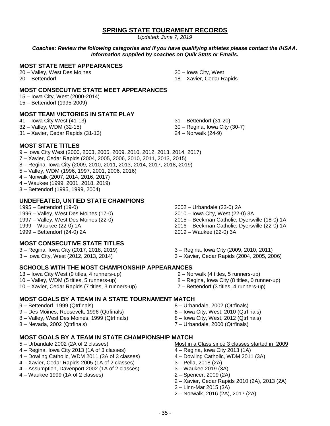## **SPRING STATE TOURAMENT RECORDS**

*Updated: June 7, 2019*

*Coaches: Review the following categories and if you have qualifying athletes please contact the IHSAA. Information supplied by coaches on Quik Stats or Emails.*

## **MOST STATE MEET APPEARANCES**

20 – Valley, West Des Moines 20 – Bettendorf

20 – Iowa City, West 18 – Xavier, Cedar Rapids

## **MOST CONSECUTIVE STATE MEET APPEARANCES**

15 – Iowa City, West (2000-2014) 15 – Bettendorf (1995-2009)

#### **MOST TEAM VICTORIES IN STATE PLAY**

41 – Iowa City West (41-13) 32 – Valley, WDM (32-15) 31 – Xavier, Cedar Rapids (31-13)

31 – Bettendorf (31-20) 30 – Regina, Iowa City (30-7) 24 – Norwalk (24-9)

#### **MOST STATE TITLES**

- 9 Iowa City West (2000, 2003, 2005, 2009. 2010, 2012, 2013, 2014, 2017)
- 7 Xavier, Cedar Rapids (2004, 2005, 2006, 2010, 2011, 2013, 2015)
- 8 Regina, Iowa City (2009, 2010, 2011, 2013, 2014, 2017, 2018, 2019)
- 5 Valley, WDM (1996, 1997, 2001, 2006, 2016)
- 4 Norwalk (2007, 2014, 2016, 2017)
- 4 Waukee (1999, 2001, 2018, 2019)
- 3 Bettendorf (1995, 1999, 2004)

#### **UNDEFEATED, UNTIED STATE CHAMPIONS**

1995 – Bettendorf (19-0) 1996 – Valley, West Des Moines (17-0) 1997 – Valley, West Des Moines (22-0) 1999 – Waukee (22-0) 1A 1999 – Bettendorf (24-0) 2A

## **MOST CONSECUTIVE STATE TITLES**

- 3 Regina, Iowa City (2017, 2018, 2019)
- 3 Iowa City, West (2012, 2013, 2014)
- 
- 13 Iowa City West (9 titles, 4 runners-up) 10 – Valley, WDM (5 titles, 5 runners-up) 10 – Xavier, Cedar Rapids (7 titles, 3 runners-up)
- 2010 Iowa City, West (22-0) 3A 2015 – Beckman Catholic, Dyersville (18-0) 1A
- 2016 Beckman Catholic, Dyersville (22-0) 1A
- 2019 Waukee (22-0) 3A
- 3 Regina, Iowa City (2009, 2010, 2011)
- 3 Xavier, Cedar Rapids (2004, 2005, 2006)

## **SCHOOLS WITH THE MOST CHAMPIONSHIP APPEARANCES**

- 9 Norwalk (4 titles, 5 runners-up) 8 – Regina, Iowa City (8 titles, 0 runner-up)
- 

## **MOST GOALS BY A TEAM IN A STATE TOURNAMENT MATCH**

- 9 Bettendorf, 1999 (Qtrfinals)
- 9 Des Moines, Roosevelt, 1996 (Qtrfinals)
- 8 Valley, West Des Moines, 1999 (Qtrfinals)
- 8 Nevada, 2002 (Qtrfinals)

## **MOST GOALS BY A TEAM IN STATE CHAMPIONSHIP MATCH**

- 5 Urbandale 2002 (2A of 2 classes)
- 4 Regina, Iowa City 2013 (1A of 3 classes)
- 4 Dowling Catholic, WDM 2011 (3A of 3 classes)
- 4 Xavier, Cedar Rapids 2005 (1A of 2 classes)
- 4 Assumption, Davenport 2002 (1A of 2 classes)
- 4 Waukee 1999 (1A of 2 classes)
- 8 Urbandale, 2002 (Qtrfinals)
- 8 Iowa City, West, 2010 (Qtrfinals)
- 8 Iowa City, West, 2012 (Qtrfinals)
- 7 Urbandale, 2000 (Qtrfinals)
- Most in a Class since 3 classes started in 2009
- 4 Regina, Iowa City 2013 (1A)
- 4 Dowling Catholic, WDM 2011 (3A)
- 3 Pella, 2018 (2A)
- 3 Waukee 2019 (3A)
- 2 Spencer, 2009 (2A)
- 2 Xavier, Cedar Rapids 2010 (2A), 2013 (2A)
- 2 Linn-Mar 2015 (3A)
- 2 Norwalk, 2016 (2A), 2017 (2A)

7 – Bettendorf (3 titles, 4 runners-up)

2002 – Urbandale (23-0) 2A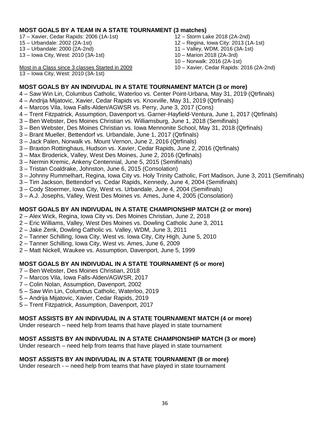## **MOST GOALS BY A TEAM IN A STATE TOURNAMENT (3 matches)**

17 – Xavier, Cedar Rapids: 2006 (1A-1st)

- 15 Urbandale: 2002 (2A-1st)
- 13 Urbandale: 2000 (2A-2nd)
- 13 Iowa City, West: 2010 (3A-1st)
- 12 Storm Lake 2018 (2A-2nd)
- 12 Regina, Iowa City: 2013 (1A-1st)
- 11 Valley, WDM, 2016 (3A-1st)
- 10 Marion 2018 (2A-3rd)
- 10 Norwalk: 2016 (2A-1st)
- Most in a Class since 3 classes Started in 2009
- 13 Iowa City, West: 2010 (3A-1st)

10 – Xavier, Cedar Rapids: 2016 (2A-2nd)

## **MOST GOALS BY AN INDIVUDAL IN A STATE TOURNAMENT MATCH (3 or more)**

- 4 Saw Win Lin, Columbus Catholic, Waterloo vs. Center Point-Urbana, May 31, 2019 (Qtrfinals)
- 4 Andrija Mijatovic, Xavier, Cedar Rapids vs. Knoxville, May 31, 2019 (Qtrfinals)
- 4 Marcos Vila, Iowa Falls-Alden/AGWSR vs. Perry, June 3, 2017 (Cons)
- 4 Trent Fitzpatrick, Assumption, Davenport vs. Garner-Hayfield-Ventura, June 1, 2017 (Qtrfinals)
- 3 Ben Webster, Des Moines Christian vs. Williamsburg, June 1, 2018 (Semifinals)
- 3 Ben Webster, Des Moines Christian vs. Iowa Mennonite School, May 31, 2018 (Qtrfinals)
- 3 Brant Mueller, Bettendorf vs. Urbandale, June 1, 2017 (Qtrfinals)
- 3 Jack Palen, Norwalk vs. Mount Vernon, June 2, 2016 (Qtrfinals)
- 3 Braxton Rottinghaus, Hudson vs. Xavier, Cedar Rapids, June 2, 2016 (Qtrfinals)
- 3 Max Broderick, Valley, West Des Moines, June 2, 2016 (Qtrfinals)
- 3 Nermin Kremic, Ankeny Centennial, June 5, 2015 (Semifinals)
- 3 Tristan Coaldrake, Johnston, June 6, 2015 (Consolation)
- 3 Johnny Rummelhart, Regina, Iowa City vs. Holy Trinity Catholic, Fort Madison, June 3, 2011 (Semifinals)
- 3 Tim Jackson, Bettendorf vs. Cedar Rapids, Kennedy, June 4, 2004 (Semifinals)
- 3 Cody Stoermer, Iowa City, West vs. Urbandale, June 4, 2004 (Semifinals)
- 3 A.J. Josephs, Valley, West Des Moines vs. Ames, June 4, 2005 (Consolation)

## **MOST GOALS BY AN INDIVUDAL IN A STATE CHAMPIONSHIP MATCH (2 or more)**

- 2 Alex Wick, Regina, Iowa City vs. Des Moines Christian, June 2, 2018
- 2 Eric Williams, Valley, West Des Moines vs. Dowling Catholic June 3, 2011
- 2 Jake Zenk, Dowling Catholic vs. Valley, WDM, June 3, 2011
- 2 Tanner Schilling, Iowa City, West vs. Iowa City, City High, June 5, 2010
- 2 Tanner Schilling, Iowa City, West vs. Ames, June 6, 2009
- 2 Matt Nickell, Waukee vs. Assumption, Davenport, June 5, 1999

## **MOST GOALS BY AN INDIVUDAL IN A STATE TOURNAMENT (5 or more)**

- 7 Ben Webster, Des Moines Christian, 2018
- 7 Marcos Vila, Iowa Falls-Alden/AGWSR, 2017
- 7 Colin Nolan, Assumption, Davenport, 2002
- 5 Saw Win Lin, Columbus Catholic, Waterloo, 2019
- 5 Andrija Mijatovic, Xavier, Cedar Rapids, 2019
- 5 Trent Fitzpatrick, Assumption, Davenport, 2017

## **MOST ASSISTS BY AN INDIVUDAL IN A STATE TOURNAMENT MATCH (4 or more)**

Under research – need help from teams that have played in state tournament

## **MOST ASSISTS BY AN INDIVUDAL IN A STATE CHAMPIONSHIP MATCH (3 or more)**

Under research – need help from teams that have played in state tournament

## **MOST ASSISTS BY AN INDIVUDAL IN A STATE TOURNAMENT (8 or more)**

Under research - – need help from teams that have played in state tournament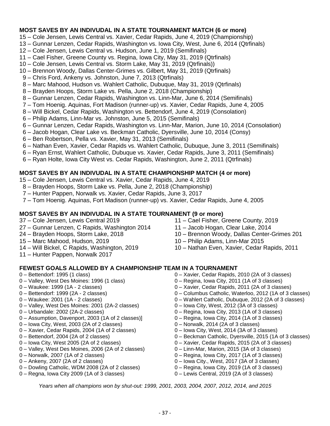## **MOST SAVES BY AN INDIVUDAL IN A STATE TOURNAMENT MATCH (6 or more)**

- 15 Cole Jensen, Lewis Central vs. Xavier, Cedar Rapids, June 4, 2019 (Championship)
- 13 Gunnar Lenzen, Cedar Rapids, Washington vs. Iowa City, West, June 6, 2014 (Qtrfinals)
- 12 Cole Jensen, Lewis Central vs. Hudson, June 1, 2019 (Semifinals)
- 11 Cael Fisher, Greene County vs. Regina, Iowa City, May 31, 2019 (Qtrfinals)
- 10 Cole Jensen, Lewis Central vs. Storm Lake, May 31, 2019 (Qtrfinals))
- 10 Brennon Woody, Dallas Center-Grimes vs. Gilbert, May 31, 2019 (Qtrfinals)
- 9 Chris Ford, Ankeny vs. Johnston, June 7, 2013 (Qtrfinals)
- 8 Marc Mahood, Hudson vs. Wahlert Catholic, Dubuque, May 31, 2019 (Qtrfinals)
- 8 Brayden Hoops, Storm Lake vs. Pella, June 2, 2018 (Championship)
- 8 Gunnar Lenzen, Cedar Rapids, Washington vs. Linn-Mar, June 6, 2014 (Semifinals)
- 7 Tom Hoenig. Aquinas, Fort Madison (runner-up) vs. Xavier, Cedar Rapids, June 4, 2005
- 8 Will Bickel, Cedar Rapids, Washington vs. Bettendorf, June 4, 2019 (Consolation)
- 6 Philip Adams, Linn-Mar vs. Johnston, June 5, 2015 (Semifinals)
- 6 Gunnar Lenzen, Cedar Rapids, Washington vs. Linn-Mar, Marion, June 10, 2014 (Consolation)
- 6 Jacob Hogan, Clear Lake vs. Beckman Catholic, Dyersville, June 10, 2014 (Consy)
- 6 Ben Robertson, Pella vs. Xavier, May 31, 2013 (Semifinals)
- 6 Nathan Even, Xavier, Cedar Rapids vs. Wahlert Catholic, Dubuque, June 3, 2011 (Semifinals)
- 6 Ryan Ernst, Wahlert Catholic, Dubuque vs. Xavier, Cedar Rapids, June 3, 2011 (Semifinals)
- 6 Ryan Holte, Iowa City West vs. Cedar Rapids, Washington, June 2, 2011 (Qtrfinals)

## **MOST SAVES BY AN INDIVUDAL IN A STATE CHAMPIONSHIP MATCH (4 or more)**

- 15 Cole Jensen, Lewis Central vs. Xavier, Cedar Rapids, June 4, 2019
- 8 Brayden Hoops, Storm Lake vs. Pella, June 2, 2018 (Championship)
- 7 Hunter Pappen, Norwalk vs. Xavier, Cedar Rapids, June 3, 2017
- 7 Tom Hoenig. Aquinas, Fort Madison (runner-up) vs. Xavier, Cedar Rapids, June 4, 2005

## **MOST SAVES BY AN INDIVUDAL IN A STATE TOURNAMENT (9 or more)**

- 37 Cole Jensen, Lewis Central 2019
- 27 Gunnar Lenzen, C Rapids, Washington 2014
- 24 Brayden Hoops, Storm Lake, 2018
- 15 Marc Mahood, Hudson, 2019
- 14 Will Bickel, C Rapids, Washington, 2019
- 11 Hunter Pappen, Norwalk 2017

## **FEWEST GOALS ALLOWED BY A CHAMPIONSHIP TEAM IN A TOURNAMENT**

- 0 Bettendorf: 1995 (1 class)
- 0 Valley, West Des Moines: 1996 (1 class)
- 0 Waukee: 1999 (1A 2 classes)
- 0 Bettendorf: 1999 (2A 2 classes)
- 0 Waukee: 2001 (1A 2 classes)
- 0 Valley, West Des Moines: 2001 (2A-2 classes)
- 0 Urbandale: 2002 (2A-2 classes)
- 0 Assumption, Davenport, 2003 (1A of 2 classes)]
- 0 Iowa City, West, 2003 (2A of 2 classes)
- 0 Xavier, Cedar Rapids, 2004 (1A of 2 classes)
- 0 Bettendorf, 2004 (2A of 2 classes)
- 0 Iowa City, West 2005 (2A of 2 classes)
- 0 Valley, West Des Moines, 2006 (2A of 2 classes)
- 0 Norwalk, 2007 (1A of 2 classes)
- 0 Ankeny, 2007 (2A of 2 classes)
- 0 Dowling Catholic, WDM 2008 (2A of 2 classes)
- 0 Regna, Iowa City 2009 (1A of 3 classes)
- 11 Cael Fisher, Greene County, 2019
- 11 Jacob Hogan, Clear Lake, 2014
- 10 Brennon Woody, Dallas Center-Grimes 201
- 10 Philip Adams, Linn-Mar 2015
- 10 Nathan Even, Xavier, Cedar Rapids, 2011
- 0 Xavier, Cedar Rapids, 2010 (2A of 3 classes) 0 – Regina, Iowa City, 2011 (1A of 3 classes)
- 0 Xavier, Cedar Rapids, 2011 (2A of 3 classes)
- 0 Columbus Catholic, Waterloo, 2012 (1A of 3 classes)
- 0 Wahlert Catholic, Dubuque, 2012 (2A of 3 classes)
- 0 Iowa City, West, 2012 (3A of 3 classes)
- 0 Regina, Iowa City, 2013 (1A of 3 classes)
- 0 Regina, Iowa City, 2014 (1A of 3 classes)
- 0 Norwalk, 2014 (2A of 3 classes)
- 0 Iowa City, West, 2014 (3A of 3 classes)
- 0 Beckman Catholic, Dyersville, 2015 (1A of 3 classes)
- 0 Xavier, Cedar Rapids, 2015 (2A of 3 classes)
- 0 Linn-Mar, Marion, 2015 (3A of 3 classes)
- 0 Regina, Iowa City, 2017 (1A of 3 classes)
- 0 Iowa City., West, 2017 (3A of 3 classes)
- 0 Regina, Iowa City, 2019 (1A of 3 classes)
- 0 Lewis Central, 2019 (2A of 3 classes)

*Years when all champions won by shut-out: 1999, 2001, 2003, 2004, 2007, 2012, 2014, and 2015*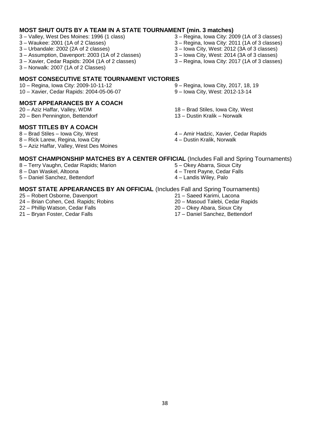## **MOST SHUT OUTS BY A TEAM IN A STATE TOURNAMENT (min. 3 matches)**

- 3 Valley, West Des Moines: 1996 (1 class)
- 3 Waukee: 2001 (1A of 2 Classes)
- 3 Urbandale: 2002 (2A of 2 classes)
- 3 Assumption, Davenport: 2003 (1A of 2 classes)
- 3 Xavier, Cedar Rapids: 2004 (1A of 2 classes)
- 3 Norwalk: 2007 (1A of 2 Classes)

## **MOST CONSECUTIVE STATE TOURNAMENT VICTORIES**

10 – Regina, Iowa City: 2009-10-11-12 10 – Xavier, Cedar Rapids: 2004-05-06-07

## **MOST APPEARANCES BY A COACH**

20 – Aziz Haffar, Valley, WDM 20 – Ben Pennington, Bettendorf

## **MOST TITLES BY A COACH**

8 – Brad Stiles – Iowa City, West

- 8 Rick Larew, Regina, Iowa City
- 5 Aziz Haffar, Valley, West Des Moines
- 3 Regina, Iowa City: 2009 (1A of 3 classes)
- 3 Regina, Iowa City: 2011 (1A of 3 classes)
- 3 Iowa City, West: 2012 (3A of 3 classes)
- 3 Iowa City, West: 2014 (3A of 3 classes)
- 3 Regina, Iowa City: 2017 (1A of 3 classes)
- 9 Regina, Iowa City, 2017, 18, 19
- 9 Iowa City, West: 2012-13-14
- 18 Brad Stiles, Iowa City, West
- 13 Dustin Kralik Norwalk
- 4 Amir Hadzic, Xavier, Cedar Rapids
- 4 Dustin Kralik, Norwalk

## **MOST CHAMPIONSHIP MATCHES BY A CENTER OFFICIAL** (Includes Fall and Spring Tournaments)

- 8 Terry Vaughn, Cedar Rapids; Marion
- 8 Dan Waskel, Altoona
- 5 Daniel Sanchez, Bettendorf

## **MOST STATE APPEARANCES BY AN OFFICIAL** (Includes Fall and Spring Tournaments)

- 25 Robert Osborne, Davenport
- 24 Brian Cohen, Ced. Rapids; Robins
- 22 Phillip Watson, Cedar Falls
- 21 Bryan Foster, Cedar Falls
- 5 Okey Abarra, Sioux City
- 4 Trent Payne, Cedar Falls
- 4 Landis Wiley, Palo
- - 21 Saeed Karimi, Lacona
	- 20 Masoud Talebi, Cedar Rapids
	- 20 Okey Abara, Sioux City
	- 17 Daniel Sanchez, Bettendorf
- 
- -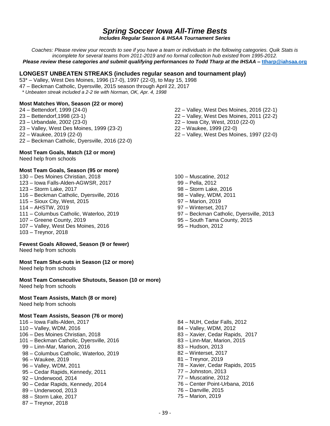## *Spring Soccer Iowa All-Time Bests*

*Includes Regular Season & IHSAA Tournament Series*

*Coaches: Please review your records to see if you have a team or individuals in the following categories. Quik Stats is incomplete for several teams from 2011-2019 and no formal collection hub existed from 1995-2012. Please review these categories and submit qualifying performances to Todd Tharp at the IHSAA –* **[ttharp@iahsaa.org](mailto:ttharp@iahsaa.org)**

## **LONGEST UNBEATEN STREAKS (includes regular season and tournament play)**

53\* – Valley, West Des Moines, 1996 (17-0), 1997 (22-0), to May 15, 1998

- 47 Beckman Catholic, Dyersville, 2015 season through April 22, 2017
- *\* Unbeaten streak included a 2-2 tie with Norman, OK, Apr. 4, 1998*

## **Most Matches Won, Season (22 or more)**

- 24 Bettendorf, 1999 (24-0)
- 23 Bettendorf,1998 (23-1)
- 23 Urbandale, 2002 (23-0)
- 23 Valley, West Des Moines, 1999 (23-2)
- 22 Waukee, 2019 (22-0)
- 22 Beckman Catholic, Dyersville, 2016 (22-0)

#### **Most Team Goals, Match (12 or more)**

Need help from schools

#### **Most Team Goals, Season (95 or more)**

130 – Des Moines Christian, 2018 123 – Iowa Falls-Alden-AGWSR, 2017 123 – Storm Lake, 2017 116 – Beckman Catholic, Dyersville, 2016 115 – Sioux City, West, 2015 114 – AHSTW, 2019 111 – Columbus Catholic, Waterloo, 2019 107 – Greene County, 2019 107 – Valley, West Des Moines, 2016 103 – Treynor, 2018

## **Fewest Goals Allowed, Season (9 or fewer)**

Need help from schools

#### **Most Team Shut-outs in Season (12 or more)**

Need help from schools

**Most Team Consecutive Shutouts, Season (10 or more)** Need help from schools

#### **Most Team Assists, Match (8 or more)** Need help from schools

#### **Most Team Assists, Season (76 or more)**

- 116 Iowa Falls-Alden, 2017
- 110 Valley, WDM, 2016
- 106 Des Moines Christian, 2018
- 101 Beckman Catholic, Dyersville, 2016
- 99 Linn-Mar, Marion, 2016
- 98 Columbus Catholic, Waterloo, 2019
- 96 Waukee, 2019
- 96 Valley, WDM, 2011
- 95 Cedar Rapids, Kennedy, 2011
- 92 Underwood, 2014
- 90 Cedar Rapids, Kennedy, 2014
- 89 Underwood, 2013
- 88 Storm Lake, 2017
- 87 Treynor, 2018
- 22 Valley, West Des Moines, 2016 (22-1)
- 22 Valley, West Des Moines, 2011 (22-2)
- 22 Iowa City, West, 2010 (22-0)
- 22 Waukee, 1999 (22-0)
- 22 Valley, West Des Moines, 1997 (22-0)
- 100 Muscatine, 2012
- 99 Pella, 2012
- 98 Storm Lake, 2016
- 98 Valley, WDM, 2011
- 97 Marion, 2019
- 97 Winterset, 2017
- 97 Beckman Catholic, Dyersville, 2013
- 95 South Tama County, 2015
- 95 Hudson, 2012

 84 – NUH, Cedar Falls, 2012 84 – Valley, WDM, 2012 83 – Xavier, Cedar Rapids, 2017 83 – Linn-Mar, Marion, 2015 83 – Hudson, 2013 82 – Winterset, 2017 81 – Treynor, 2019 78 – Xavier, Cedar Rapids, 2015 77 – Johnston, 2013 77 – Muscatine, 2012 76 – Center Point-Urbana, 2016 76 – Danville, 2015 75 – Marion, 2019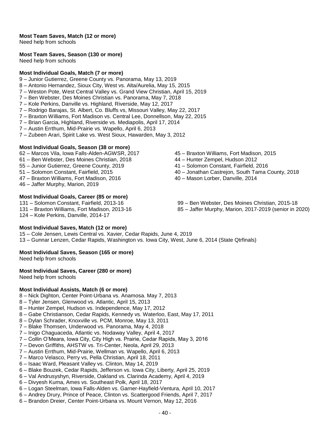## **Most Team Saves, Match (12 or more)**

Need help from schools

**Most Team Saves, Season (130 or more)**

Need help from schools

## **Most Individual Goals, Match (7 or more)**

- 9 Junior Gutierrez, Greene County vs. Panorama, May 13, 2019
- 8 Antonio Hernandez, Sioux City, West vs. Alta/Aurelia, May 15, 2015
- 7 Weston Pote, West Central Valley vs. Grand View Christian, April 15, 2019
- 7 Ben Webster, Des Moines Christian vs. Panorama, May 7, 2018
- 7 Kole Perkins, Danville vs. Highland, Riverside, May 12, 2017
- 7 Rodrigo Barajas, St. Albert, Co. Bluffs vs, Missouri Valley, May 22, 2017
- 7 Braxton Williams, Fort Madison vs. Central Lee, Donnellson, May 22, 2015
- 7 Brian Garcia, Highland, Riverside vs. Mediapolis, April 17, 2014
- 7 Austin Errthum, Mid-Prairie vs. Wapello, April 6, 2013
- 7 Zubeen Arari, Spirit Lake vs. West Sioux, Hawarden, May 3, 2012

## **Most Individual Goals, Season (38 or more)**

- 62 Marcos Vila, Iowa Falls-Alden-AGWSR, 2017
- 61 Ben Webster, Des Moines Christian, 2018
- 55 Junior Gutierrez, Greene County, 2019
- 51 Solomon Constant, Fairfield, 2015
- 47 Braxton Williams, Fort Madison, 2016
- 46 Jaffer Murphy, Marion, 2019

## **Most Individual Goals, Career (85 or more)**

- 131 Solomon Constant, Fairfield, 2013-16
- 131 Braxton Williams, Fort Madison, 2013-16
- 124 Kole Perkins, Danville, 2014-17

## **Most Individual Saves, Match (12 or more)**

15 – Cole Jensen, Lewis Central vs. Xavier, Cedar Rapids, June 4, 2019 13 – Gunnar Lenzen, Cedar Rapids, Washington vs. Iowa City, West, June 6, 2014 (State Qtrfinals)

## **Most Individual Saves, Season (165 or more)**

Need help from schools

## **Most Individual Saves, Career (280 or more)**

Need help from schools

## **Most Individual Assists, Match (6 or more)**

- 8 Nick Dighton, Center Point-Urbana vs. Anamosa. May 7, 2013
- 8 Tyler Jensen, Glenwood vs. Atlantic, April 15, 2013
- 8 Hunter Zempel, Hudson vs. Independence, May 17, 2012
- 8 Gabe Christianson, Cedar Rapids, Kennedy vs. Waterloo, East, May 17, 2011
- 8 Dylan Schrader, Knoxville vs. PCM, Monroe, May 13, 2011
- 7 Blake Thomsen, Underwood vs. Panorama, May 4, 2018
- 7 Inigo Chaguaceda, Atlantic vs. Nodaway Valley, April 4, 2017
- 7 Collin O'Meara, Iowa City, City High vs. Prairie, Cedar Rapids, May 3, 2016
- 7 Devon Griffiths, AHSTW vs. Tri-Center, Neola, April 29, 2013
- 7 Austin Errthum, Mid-Prairie, Wellman vs. Wapello, April 6, 2013
- 7 Marco Velasco, Perry vs, Pella Christian, April 18, 2011
- 6 Isaac Ward, Pleasant Valley vs. Clinton, May 14, 2019
- 6 Blake Bouzek, Cedar Rapids, Jefferson vs. Iowa City, Liberty, April 25, 2019
- 6 Val Andrusyshyn, Riverside, Oakland vs. Clarinda Academy, April 4, 2019
- 6 Divyesh Kuma, Ames vs. Southeast Polk, April 18, 2017
- 6 Logan Steelman, Iowa Falls-Alden vs. Garner-Hayfield-Ventura, April 10, 2017
- 6 Andrey Drury, Prince of Peace, Clinton vs. Scattergood Friends, April 7, 2017
- 6 Brandon Dreier, Center Point-Urbana vs. Mount Vernon, May 12, 2016
- 45 Braxton Williams, Fort Madison, 2015
- 44 Hunter Zempel, Hudson 2012
- 41 Solomon Constant, Fairfield, 2016
- 40 Jonathan Castrejon, South Tama County, 2018
- 40 Mason Lorber, Danville, 2014
- 99 Ben Webster, Des Moines Christian, 2015-18
- 85 Jaffer Murphy, Marion, 2017-2019 (senior in 2020)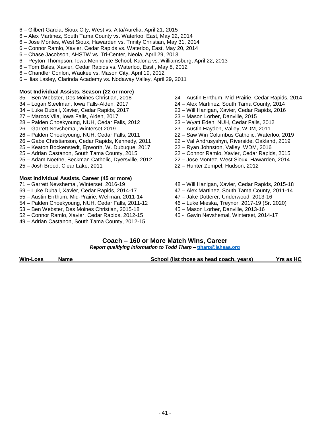- 6 Gilbert Garcia, Sioux City, West vs. Alta/Aurelia, April 21, 2015
- 6 Alex Martinez, South Tama County vs. Waterloo, East, May 22, 2014
- 6 Jose Montes, West Sioux, Hawarden vs. Trinity Christian, May 31, 2014
- 6 Connor Ramlo, Xavier, Cedar Rapids vs. Waterloo, East, May 20, 2014
- 6 Chase Jacobson, AHSTW vs. Tri-Center, Neola, April 29, 2013
- 6 Peyton Thompson, Iowa Mennonite School, Kalona vs. Williamsburg, April 22, 2013
- 6 Tom Bales, Xavier, Cedar Rapids vs. Waterloo, East , May 8, 2012
- 6 Chandler Conlon, Waukee vs. Mason City, April 19, 2012
- 6 Ilias Lasley, Clarinda Academy vs. Nodaway Valley, April 29, 2011

#### **Most Individual Assists, Season (22 or more)**

- 35 Ben Webster, Des Moines Christian, 2018
- 34 Logan Steelman, Iowa Falls-Alden, 2017
- 34 Luke Duball, Xavier, Cedar Rapids, 2017
- 27 Marcos Vila, Iowa Falls, Alden, 2017
- 28 Palden Choekyoung, NUH, Cedar Falls, 2012
- 26 Garrett Nevshemal, Winterset 2019
- 26 Palden Choekyoung, NUH, Cedar Falls, 2011
- 26 Gabe Christianson, Cedar Rapids, Kennedy, 2011
- 25 Keaton Bockenstedt, Epworth, W. Dubuque, 2017
- 25 Adrian Castanon, South Tama County, 2015
- 25 Adam Noethe, Beckman Catholic, Dyersville, 2012
- 25 Josh Brood, Clear Lake, 2011

#### **Most Individual Assists, Career (45 or more)**

- 71 Garrett Nevshemal, Winterset, 2016-19
- 69 Luke Duball, Xavier, Cedar Rapids, 2014-17
- 55 Austin Errthum, Mid-Prairie, Wellman, 2011-14
- 54 Palden Choekyoung, NUH, Cedar Falls, 2011-12
- 53 Ben Webster, Des Moines Christian, 2015-18
- 52 Connor Ramlo, Xavier, Cedar Rapids, 2012-15
- 49 Adrian Castanon, South Tama County, 2012-15
- 24 Austin Errthum, Mid-Prairie, Cedar Rapids, 2014
- 24 Alex Martinez, South Tama County, 2014
- 23 Will Hanigan, Xavier, Cedar Rapids, 2016
- 23 Mason Lorber, Danville, 2015
- 23 Wyatt Eden, NUH, Cedar Falls, 2012
- 23 Austin Hayden, Valley, WDM, 2011
- 22 Saw Win Columbus Catholic, Waterloo, 2019
- 22 Val Andrusyshyn, Riverside, Oakland, 2019
- 22 Ryan Johnston, Valley, WDM, 2016
- 22 Connor Ramlo, Xavier, Cedar Rapids, 2015
- 22 Jose Montez, West Sioux, Hawarden, 2014
- 22 Hunter Zempel, Hudson, 2012
- 48 Will Hanigan, Xavier, Cedar Rapids, 2015-18
- 47 Alex Martinez, South Tama County, 2011-14
- 47 Jake Dotterer, Underwood, 2013-16
- 46 Luke Mieska, Treynor, 2017-19 (Sr. 2020)
- 45 Mason Lorber, Danville, 2013-16
- 45 Gavin Nevshemal, Winterset, 2014-17

# **Coach – 160 or More Match Wins, Career**

*Report qualifying information to Todd Tharp –* **[ttharp@iahsaa.org](mailto:ttharp@iahsaa.org)**

**Win-Loss Name School (list those as head coach, years)** Yrs as HC